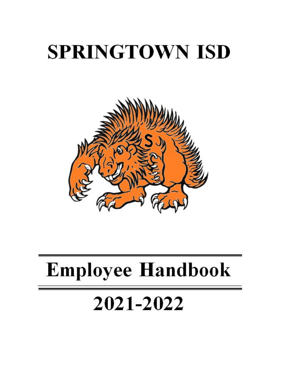# **SPRINGTOWN ISD**



# **Employee Handbook**

# 2021-2022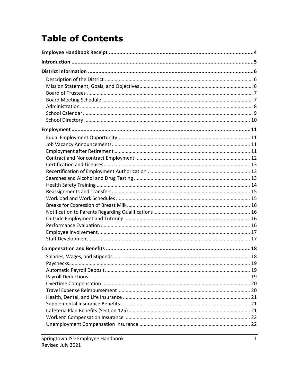# **Table of Contents**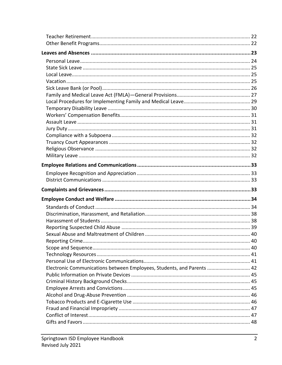| Electronic Communications between Employees, Students, and Parents  42 |  |
|------------------------------------------------------------------------|--|
|                                                                        |  |
|                                                                        |  |
|                                                                        |  |
|                                                                        |  |
|                                                                        |  |
|                                                                        |  |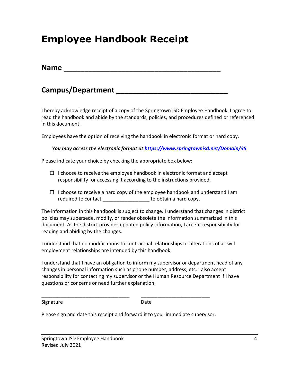## **Employee Handbook Receipt**

| <b>Name</b> |  |  |  |  |
|-------------|--|--|--|--|
|             |  |  |  |  |

### **Campus/Department \_\_\_\_\_\_\_\_\_\_\_\_\_\_\_\_\_\_\_\_\_\_\_\_\_\_\_**

I hereby acknowledge receipt of a copy of the Springtown ISD Employee Handbook. I agree to read the handbook and abide by the standards, policies, and procedures defined or referenced in this document.

Employees have the option of receiving the handbook in electronic format or hard copy.

*You may access the electronic format at<https://www.springtownisd.net/Domain/35>*

Please indicate your choice by checking the appropriate box below:

- $\Box$  I choose to receive the employee handbook in electronic format and accept responsibility for accessing it according to the instructions provided.
- $\Box$  I choose to receive a hard copy of the employee handbook and understand I am required to contact \_\_\_\_\_\_\_\_\_\_\_\_\_\_\_\_\_\_\_\_ to obtain a hard copy.

The information in this handbook is subject to change. I understand that changes in district policies may supersede, modify, or render obsolete the information summarized in this document. As the district provides updated policy information, I accept responsibility for reading and abiding by the changes.

I understand that no modifications to contractual relationships or alterations of at-will employment relationships are intended by this handbook.

I understand that I have an obligation to inform my supervisor or department head of any changes in personal information such as phone number, address, etc. I also accept responsibility for contacting my supervisor or the Human Resource Department if I have questions or concerns or need further explanation.

Signature Date

Please sign and date this receipt and forward it to your immediate supervisor.

\_\_\_\_\_\_\_\_\_\_\_\_\_\_\_\_\_\_\_\_\_\_\_\_\_\_\_\_\_\_\_\_ \_\_\_\_\_\_\_\_\_\_\_\_\_\_\_\_\_\_\_\_\_\_\_\_\_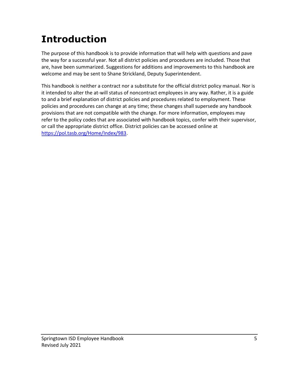# **Introduction**

The purpose of this handbook is to provide information that will help with questions and pave the way for a successful year. Not all district policies and procedures are included. Those that are, have been summarized. Suggestions for additions and improvements to this handbook are welcome and may be sent to Shane Strickland, Deputy Superintendent.

This handbook is neither a contract nor a substitute for the official district policy manual. Nor is it intended to alter the at-will status of noncontract employees in any way. Rather, it is a guide to and a brief explanation of district policies and procedures related to employment. These policies and procedures can change at any time; these changes shall supersede any handbook provisions that are not compatible with the change. For more information, employees may refer to the policy codes that are associated with handbook topics, confer with their supervisor, or call the appropriate district office. District policies can be accessed online at [https://pol.tasb.org/Home/Index/983.](https://pol.tasb.org/Home/Index/983)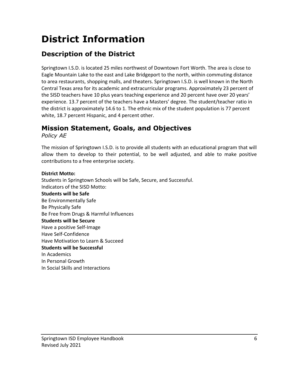# **District Information**

### **Description of the District**

Springtown I.S.D. is located 25 miles northwest of Downtown Fort Worth. The area is close to Eagle Mountain Lake to the east and Lake Bridgeport to the north, within commuting distance to area restaurants, shopping malls, and theaters. Springtown I.S.D. is well known in the North Central Texas area for its academic and extracurricular programs. Approximately 23 percent of the SISD teachers have 10 plus years teaching experience and 20 percent have over 20 years' experience. 13.7 percent of the teachers have a Masters' degree. The student/teacher ratio in the district is approximately 14.6 to 1. The ethnic mix of the student population is 77 percent white, 18.7 percent Hispanic, and 4 percent other.

### **Mission Statement, Goals, and Objectives**

*Policy AE*

The mission of Springtown I.S.D. is to provide all students with an educational program that will allow them to develop to their potential, to be well adjusted, and able to make positive contributions to a free enterprise society.

#### **District Motto:**

Students in Springtown Schools will be Safe, Secure, and Successful. Indicators of the SISD Motto: **Students will be Safe**  Be Environmentally Safe Be Physically Safe Be Free from Drugs & Harmful Influences **Students will be Secure** Have a positive Self-Image Have Self-Confidence Have Motivation to Learn & Succeed **Students will be Successful**  In Academics In Personal Growth In Social Skills and Interactions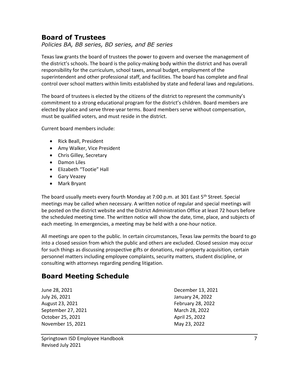### **Board of Trustees**

*Policies BA, BB series, BD series, and BE series*

Texas law grants the board of trustees the power to govern and oversee the management of the district's schools. The board is the policy-making body within the district and has overall responsibility for the curriculum, school taxes, annual budget, employment of the superintendent and other professional staff, and facilities. The board has complete and final control over school matters within limits established by state and federal laws and regulations.

The board of trustees is elected by the citizens of the district to represent the community's commitment to a strong educational program for the district's children. Board members are elected by place and serve three-year terms. Board members serve without compensation, must be qualified voters, and must reside in the district.

Current board members include:

- Rick Beall, President
- Amy Walker, Vice President
- Chris Gilley, Secretary
- Damon Liles
- Elizabeth "Tootie" Hall
- Gary Veazey
- Mark Bryant

The board usually meets every fourth Monday at 7:00 p.m. at 301 East 5<sup>th</sup> Street. Special meetings may be called when necessary. A written notice of regular and special meetings will be posted on the district website and the District Administration Office at least 72 hours before the scheduled meeting time. The written notice will show the date, time, place, and subjects of each meeting. In emergencies, a meeting may be held with a one-hour notice.

All meetings are open to the public. In certain circumstances, Texas law permits the board to go into a closed session from which the public and others are excluded. Closed session may occur for such things as discussing prospective gifts or donations, real-property acquisition, certain personnel matters including employee complaints, security matters, student discipline, or consulting with attorneys regarding pending litigation.

### **Board Meeting Schedule**

June 28, 2021 December 13, 2021 July 26, 2021 January 24, 2022 August 23, 2021 **February 28, 2022** September 27, 2021 March 28, 2022 October 25, 2021 **April 25, 2022** November 15, 2021 May 23, 2022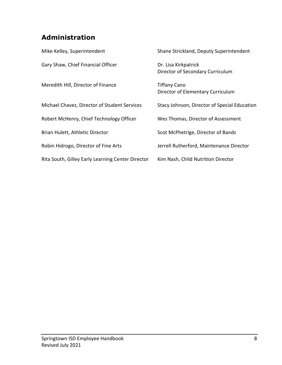### **Administration**

| Mike Kelley, Superintendent                       | Shane Strickland, Deputy Superintendent                  |
|---------------------------------------------------|----------------------------------------------------------|
| Gary Shaw, Chief Financial Officer                | Dr. Lisa Kirkpatrick<br>Director of Secondary Curriculum |
| Meredith Hill, Director of Finance                | <b>Tiffany Cano</b><br>Director of Elementary Curriculum |
| Michael Chavez, Director of Student Services      | Stacy Johnson, Director of Special Education             |
| Robert McHenry, Chief Technology Officer          | Wes Thomas, Director of Assessment                       |
| Brian Hulett, Athletic Director                   | Scot McPhetrige, Director of Bands                       |
| Robin Hidrogo, Director of Fine Arts              | Jerrell Rutherford, Maintenance Director                 |
| Rita South, Gilley Early Learning Center Director | Kim Nash, Child Nutrition Director                       |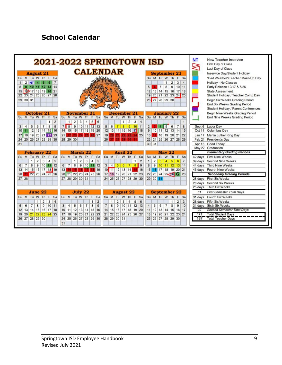### **School Calendar**

|                                               | 2021-2022 SPRINGTOWN ISD                                                                                       | New Teacher Inservice<br><b>NT</b><br>First Day of Class<br>Last Day of Class                                |                                        |
|-----------------------------------------------|----------------------------------------------------------------------------------------------------------------|--------------------------------------------------------------------------------------------------------------|----------------------------------------|
| <b>August 21</b>                              | <b>CALENDAR</b>                                                                                                | <b>September 21</b>                                                                                          | Inservice Day/Student Holiday          |
| Su M Tu W Th F<br>Sa                          |                                                                                                                | Su M Tu W Th F<br>Sa                                                                                         | "Bad Weather"/Teacher Make-Up Day      |
| $\overline{7}$<br>$\overline{2}$<br><b>NT</b> |                                                                                                                | $\overline{2}$<br>3<br>1<br>$\overline{4}$                                                                   | Holiday - No Classes                   |
| 11 12 13 14<br>8<br>9<br>10                   |                                                                                                                | 8 <sup>1</sup><br>9<br>10 11<br>5 <sup>1</sup><br>$\overline{7}$                                             | Early Release 12/17 & 5/26             |
| 15 16 17 18 19 20 21                          |                                                                                                                | 12 13 14 15 16 17 18                                                                                         | <b>State Assessment</b>                |
| 22 23 24 25 26 27 28                          |                                                                                                                | 19 20 21 22 23 24 25                                                                                         | Student Holiday / Teacher Comp Day     |
| 29 30 31                                      |                                                                                                                | 26 27 28 29 30                                                                                               | Begin Six Weeks Grading Period         |
|                                               |                                                                                                                |                                                                                                              | End Six Weeks Grading Period           |
|                                               |                                                                                                                |                                                                                                              | Student Holiday / Parent Conferences   |
| October 21                                    | December 21<br><b>November</b>                                                                                 | <b>January 22</b>                                                                                            | Begin Nine Weeks Grading Period        |
| Su M Tu W Th F<br>Sa                          | Su M Tu<br>$Su$ M<br>Tu W<br>F<br>W<br>Th<br>Sa<br>Th                                                          | Su M Tu W Th F Sa<br>Sa<br>F                                                                                 | End Nine Weeks Grading Period          |
| $\overline{2}$<br>$\mathbf{1}$                | 5<br>$\overline{2}$<br>3<br>4 <sup>1</sup><br> 6<br>$\overline{2}$<br>1<br>$\mathbf{1}$                        | 3<br>$\overline{4}$<br>$\mathbf{1}$                                                                          |                                        |
| 5<br>7<br>8<br>$\overline{9}$<br>6<br>3<br>4  | $\overline{8}$<br>7 <sup>1</sup><br>9 10 11 12 13<br>6<br>5 <sup>1</sup><br>$\overline{7}$                     | $\boxed{5}$<br>8 9 10 11<br>$\overline{4}$<br>6 <sup>1</sup><br>2 <sup>1</sup><br>$\overline{7}$<br>. .<br>8 | Sept 6 Labor Day                       |
| 11 12 13 14 15 16<br>10                       | 12 13 14 15 16 17 18<br>14 15 16 17 18 19 20                                                                   | 9 10 11 12 13 14 15                                                                                          | Oct 11 Columbus Day                    |
| 18 19 20 21 22 23<br>17 <sup>1</sup>          | 21<br>26 27<br>19<br>24125                                                                                     | 16 17 18 19 20 21 22<br>25                                                                                   | Jan 17 Martin Luther King Day          |
| 25 26 27 28 29 30<br>24                       | 28 29 30<br>26                                                                                                 | 23 24 25 26 27 28 29                                                                                         | Feb 21 President's Day                 |
| 31                                            |                                                                                                                | 30 31                                                                                                        | Good Friday<br>Apr 15                  |
|                                               |                                                                                                                |                                                                                                              | May 27 Graduation                      |
| <b>February 22</b>                            | March 22<br><b>April 22</b>                                                                                    | <b>May 22</b>                                                                                                | <b>Elementary Grading Periods</b>      |
| Su M Tu W Th<br>F<br>Sa                       | Su M Tu W Th F Sa<br>Su M Tu W Th F<br>Sa                                                                      | Su M<br>Tu W Th F Sa                                                                                         | <b>First Nine Weeks</b><br>42 days     |
| $\overline{2}$<br>3<br>4<br>5<br>$\mathbf{1}$ | $\overline{2}$<br>3<br>$\overline{4}$<br>5<br>1                                                                | 5<br>$\overline{2}$<br>3<br>$\bullet$<br>$6 \mid 7$<br>1<br>$\overline{2}$<br>1                              | <b>Second Nine Weeks</b><br>39 days    |
| 8<br>9 10 11 12<br>$\overline{7}$<br>6        | $\overline{L}$<br>8<br>9 10<br>11 12<br>3 <sup>1</sup><br>$\overline{4}$<br>5 <sup>1</sup><br>6<br>6<br>$\tau$ | 89<br>8 <sup>1</sup><br>9 10 11 12 13 14                                                                     | <b>Third Nine Weeks</b><br>44 days     |
| 13 14 15 16 17 18 19                          | 10 11 12 13 14<br>13<br>  19                                                                                   | 15 16 17 18 19 20 21<br>15 16                                                                                | 46 days Fourth Nine Weeks              |
| 22 23 24 25 26<br>20 <sup>1</sup>             | 17 18 19 20 21 22 23<br>20 21 22 23 24 25 26                                                                   | 22 23 24 25 26 G 28                                                                                          | <b>Secondary Grading Periods</b>       |
| $27 \ 28$                                     | 24 25 26 27 28 29 30<br>27 28 29 30 31                                                                         | 29 30 31                                                                                                     | <b>First Six Weeks</b><br>28 days      |
|                                               |                                                                                                                |                                                                                                              | <b>Second Six Weeks</b><br>28 days     |
|                                               |                                                                                                                |                                                                                                              | Third Six Weeks<br>25 days             |
| June 22                                       | July 22<br><b>August 22</b>                                                                                    | <b>September 22</b>                                                                                          | <b>First Semester Total Days</b><br>81 |
| Su M Tu W<br>Th F Sa                          | F<br>Su M Tu W Th<br>Sa<br>Su M Tu<br>W Th F                                                                   | Su M Tu W Th F Sa<br>Sa                                                                                      | <b>Fourth Six Weeks</b><br>31 days     |
| $\overline{2}$<br>3<br>$\overline{4}$<br>1    | $\overline{2}$<br>$\overline{2}$<br>3<br>$\mathbf{1}$<br>1<br>4                                                | 5<br>6<br>$\overline{2}$<br>3<br>$\mathbf{1}$                                                                | <b>Fifth Six Weeks</b><br>28 days      |
| 9<br>$\overline{7}$<br>8<br>$10$ 11<br>6<br>5 | 5<br>6<br>$\overline{7}$<br>8<br>9<br>$\overline{7}$<br>8<br>9<br>3<br>$\overline{4}$                          | 10 11 12 13<br>5<br>6<br>$\overline{7}$<br>8<br>9<br>10<br>4                                                 | 31 days Sixth Six Weeks                |
| 12 13 14 15 16 17 18                          | 10 11 12 13 14 15 16<br>14 15 16 17 18 19 20                                                                   | 11 12 13 14 15 16 17                                                                                         | Second Semester Total Days<br>90       |
| 19 20<br>21 22 23 24 25                       | $21$ $22$<br>23<br>18<br>19 20<br>21<br>22<br>23<br> 24 <br>17                                                 | 25 26 27<br>19<br>20 21 <br>18<br>22<br>23 24                                                                | <b>Total Student Days</b><br>171       |
| 26 27 28 29 30                                | 24 25 26 27 28 29 30<br>28 29 30 31                                                                            | 25 26 27 28 29 30                                                                                            | <b>Total Teacher Days</b><br>187       |
|                                               | 31                                                                                                             |                                                                                                              |                                        |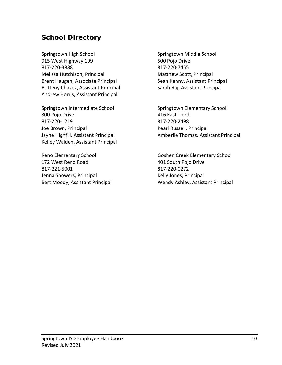### **School Directory**

Springtown High School Springtown Middle School 915 West Highway 199 **500 Polyon Contract Contract Automobile** 500 Pojo Drive 817-220-3888 817-220-7455 Melissa Hutchison, Principal Matthew Scott, Principal Brent Haugen, Associate Principal Sean Kenny, Assistant Principal Britteny Chavez, Assistant Principal Sarah Raj, Assistant Principal Andrew Horris, Assistant Principal

Springtown Intermediate School Springtown Elementary School 300 Pojo Drive 416 East Third 817-220-1219 817-220-2498 Joe Brown, Principal **Pearl Russell**, Principal Pearl Russell, Principal Kelley Walden, Assistant Principal

172 West Reno Road 172 West Reno Road 817-221-5001 817-220-0272 Jenna Showers, Principal Manuel Company Relly Jones, Principal

Jayne Highfill, Assistant Principal **Amberlie Thomas, Assistant Principal** 

Reno Elementary School Goshen Creek Elementary School Bert Moody, Assistant Principal Wendy Ashley, Assistant Principal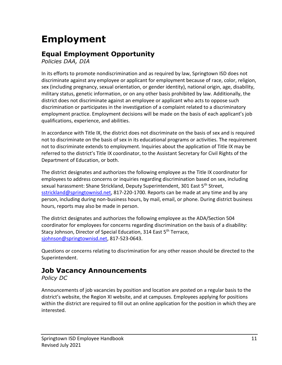# **Employment**

### **Equal Employment Opportunity**

*Policies DAA, DIA*

In its efforts to promote nondiscrimination and as required by law, Springtown ISD does not discriminate against any employee or applicant for employment because of race, color, religion, sex (including pregnancy, sexual orientation, or gender identity), national origin, age, disability, military status, genetic information, or on any other basis prohibited by law. Additionally, the district does not discriminate against an employee or applicant who acts to oppose such discrimination or participates in the investigation of a complaint related to a discriminatory employment practice. Employment decisions will be made on the basis of each applicant's job qualifications, experience, and abilities.

In accordance with Title IX, the district does not discriminate on the basis of sex and is required not to discriminate on the basis of sex in its educational programs or activities. The requirement not to discriminate extends to employment. Inquiries about the application of Title IX may be referred to the district's Title IX coordinator, to the Assistant Secretary for Civil Rights of the Department of Education, or both.

The district designates and authorizes the following employee as the Title IX coordinator for employees to address concerns or inquiries regarding discrimination based on sex, including sexual harassment: Shane Strickland, Deputy Superintendent, 301 East 5<sup>th</sup> Street, [sstrickland@springtownisd.net,](mailto:sstrickland@springtownisd.net) 817-220-1700. Reports can be made at any time and by any person, including during non-business hours, by mail, email, or phone. During district business hours, reports may also be made in person.

The district designates and authorizes the following employee as the ADA/Section 504 coordinator for employees for concerns regarding discrimination on the basis of a disability: Stacy Johnson, Director of Special Education, 314 East 5<sup>th</sup> Terrace, [sjohnson@springtownisd.net,](mailto:sjohnson@springtownisd.net) 817-523-0643.

Questions or concerns relating to discrimination for any other reason should be directed to the Superintendent.

### **Job Vacancy Announcements**

*Policy DC*

Announcements of job vacancies by position and location are posted on a regular basis to the district's website, the Region XI website, and at campuses. Employees applying for positions within the district are required to fill out an online application for the position in which they are interested.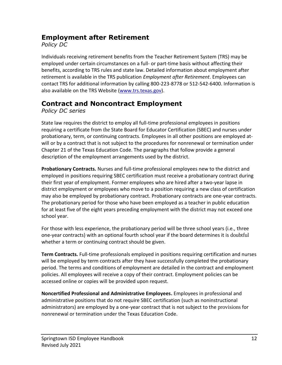### **Employment after Retirement**

*Policy DC*

Individuals receiving retirement benefits from the Teacher Retirement System (TRS) may be employed under certain circumstances on a full- or part-time basis without affecting their benefits, according to TRS rules and state law. Detailed information about employment after retirement is available in the TRS publication *Employment after Retirement*. Employees can contact TRS for additional information by calling 800-223-8778 or 512-542-6400. Information is also available on the TRS Website [\(www.trs.texas.gov\)](file:///C:/Users/sstrickland/Desktop/Folders/Handbooks/21-22/Employee/www.trs.texas.gov).

### **Contract and Noncontract Employment**

*Policy DC series*

State law requires the district to employ all full-time professional employees in positions requiring a certificate from the State Board for Educator Certification (SBEC) and nurses under probationary, term, or continuing contracts. Employees in all other positions are employed atwill or by a contract that is not subject to the procedures for nonrenewal or termination under Chapter 21 of the Texas Education Code. The paragraphs that follow provide a general description of the employment arrangements used by the district.

**Probationary Contracts.** Nurses and full-time professional employees new to the district and employed in positions requiring SBEC certification must receive a probationary contract during their first year of employment. Former employees who are hired after a two-year lapse in district employment or employees who move to a position requiring a new class of certification may also be employed by probationary contract. Probationary contracts are one-year contracts. The probationary period for those who have been employed as a teacher in public education for at least five of the eight years preceding employment with the district may not exceed one school year.

For those with less experience, the probationary period will be three school years (i.e., three one-year contracts) with an optional fourth school year if the board determines it is doubtful whether a term or continuing contract should be given.

**Term Contracts.** Full-time professionals employed in positions requiring certification and nurses will be employed by term contracts after they have successfully completed the probationary period. The terms and conditions of employment are detailed in the contract and employment policies. All employees will receive a copy of their contract. Employment policies can be accessed online or copies will be provided upon request.

**Noncertified Professional and Administrative Employees.** Employees in professional and administrative positions that do not require SBEC certification (such as noninstructional administrators) are employed by a one-year contract that is not subject to the provisions for nonrenewal or termination under the Texas Education Code.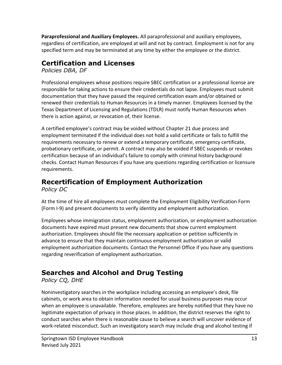**Paraprofessional and Auxiliary Employees.** All paraprofessional and auxiliary employees, regardless of certification, are employed at will and not by contract. Employment is not for any specified term and may be terminated at any time by either the employee or the district.

### **Certification and Licenses**

*Policies DBA, DF*

Professional employees whose positions require SBEC certification or a professional license are responsible for taking actions to ensure their credentials do not lapse. Employees must submit documentation that they have passed the required certification exam and/or obtained or renewed their credentials to Human Resources in a timely manner. Employees licensed by the Texas Department of Licensing and Regulations (TDLR) must notify Human Resources when there is action against, or revocation of, their license.

A certified employee's contract may be voided without Chapter 21 due process and employment terminated if the individual does not hold a valid certificate or fails to fulfill the requirements necessary to renew or extend a temporary certificate, emergency certificate, probationary certificate, or permit. A contract may also be voided if SBEC suspends or revokes certification because of an individual's failure to comply with criminal history background checks. Contact Human Resources if you have any questions regarding certification or licensure requirements.

### **Recertification of Employment Authorization**

*Policy DC*

At the time of hire all employees must complete the Employment Eligibility Verification Form (Form I-9) and present documents to verify identity and employment authorization.

Employees whose immigration status, employment authorization, or employment authorization documents have expired must present new documents that show current employment authorization. Employees should file the necessary application or petition sufficiently in advance to ensure that they maintain continuous employment authorization or valid employment authorization documents. Contact the Personnel Office if you have any questions regarding reverification of employment authorization.

### **Searches and Alcohol and Drug Testing**

*Policy CQ, DHE*

Noninvestigatory searches in the workplace including accessing an employee's desk, file cabinets, or work area to obtain information needed for usual business purposes may occur when an employee is unavailable. Therefore, employees are hereby notified that they have no legitimate expectation of privacy in those places. In addition, the district reserves the right to conduct searches when there is reasonable cause to believe a search will uncover evidence of work-related misconduct. Such an investigatory search may include drug and alcohol testing if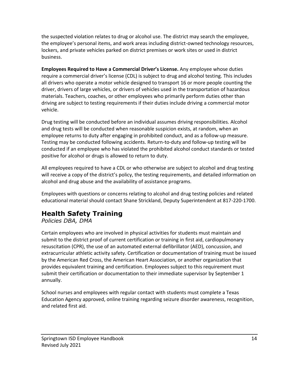the suspected violation relates to drug or alcohol use. The district may search the employee, the employee's personal items, and work areas including district-owned technology resources, lockers, and private vehicles parked on district premises or work sites or used in district business.

**Employees Required to Have a Commercial Driver's License.** Any employee whose duties require a commercial driver's license (CDL) is subject to drug and alcohol testing. This includes all drivers who operate a motor vehicle designed to transport 16 or more people counting the driver, drivers of large vehicles, or drivers of vehicles used in the transportation of hazardous materials. Teachers, coaches, or other employees who primarily perform duties other than driving are subject to testing requirements if their duties include driving a commercial motor vehicle.

Drug testing will be conducted before an individual assumes driving responsibilities. Alcohol and drug tests will be conducted when reasonable suspicion exists, at random, when an employee returns to duty after engaging in prohibited conduct, and as a follow-up measure. Testing may be conducted following accidents. Return-to-duty and follow-up testing will be conducted if an employee who has violated the prohibited alcohol conduct standards or tested positive for alcohol or drugs is allowed to return to duty.

All employees required to have a CDL or who otherwise are subject to alcohol and drug testing will receive a copy of the district's policy, the testing requirements, and detailed information on alcohol and drug abuse and the availability of assistance programs.

Employees with questions or concerns relating to alcohol and drug testing policies and related educational material should contact Shane Strickland, Deputy Superintendent at 817-220-1700.

### **Health Safety Training**

*Policies DBA, DMA*

Certain employees who are involved in physical activities for students must maintain and submit to the district proof of current certification or training in first aid, cardiopulmonary resuscitation (CPR), the use of an automated external defibrillator (AED), concussion, and extracurricular athletic activity safety. Certification or documentation of training must be issued by the American Red Cross, the American Heart Association, or another organization that provides equivalent training and certification. Employees subject to this requirement must submit their certification or documentation to their immediate supervisor by September 1 annually.

School nurses and employees with regular contact with students must complete a Texas Education Agency approved, online training regarding seizure disorder awareness, recognition, and related first aid.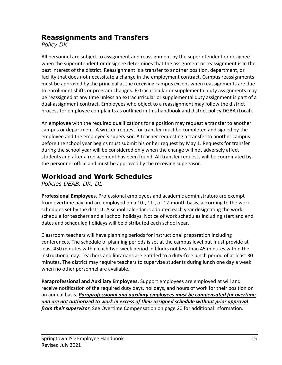### **Reassignments and Transfers**

*Policy DK*

All personnel are subject to assignment and reassignment by the superintendent or designee when the superintendent or designee determines that the assignment or reassignment is in the best interest of the district. Reassignment is a transfer to another position, department, or facility that does not necessitate a change in the employment contract. Campus reassignments must be approved by the principal at the receiving campus except when reassignments are due to enrollment shifts or program changes. Extracurricular or supplemental duty assignments may be reassigned at any time unless an extracurricular or supplemental duty assignment is part of a dual-assignment contract. Employees who object to a reassignment may follow the district process for employee complaints as outlined in this handbook and district policy DGBA (Local).

An employee with the required qualifications for a position may request a transfer to another campus or department. A written request for transfer must be completed and signed by the employee and the employee's supervisor. A teacher requesting a transfer to another campus before the school year begins must submit his or her request by May 1. Requests for transfer during the school year will be considered only when the change will not adversely affect students and after a replacement has been found. All transfer requests will be coordinated by the personnel office and must be approved by the receiving supervisor.

### **Workload and Work Schedules**

*Policies DEAB, DK, DL*

**Professional Employees.** Professional employees and academic administrators are exempt from overtime pay and are employed on a 10-, 11-, or 12-month basis, according to the work schedules set by the district. A school calendar is adopted each year designating the work schedule for teachers and all school holidays. Notice of work schedules including start and end dates and scheduled holidays will be distributed each school year.

Classroom teachers will have planning periods for instructional preparation including conferences. The schedule of planning periods is set at the campus level but must provide at least 450 minutes within each two-week period in blocks not less than 45 minutes within the instructional day. Teachers and librarians are entitled to a duty-free lunch period of at least 30 minutes. The district may require teachers to supervise students during lunch one day a week when no other personnel are available.

**Paraprofessional and Auxiliary Employees.** Support employees are employed at will and receive notification of the required duty days, holidays, and hours of work for their position on an annual basis. *Paraprofessional and auxiliary employees must be compensated for overtime and are not authorized to work in excess of their assigned schedule without prior approval from their supervisor*. See Overtime Compensation on page 20 for additional information.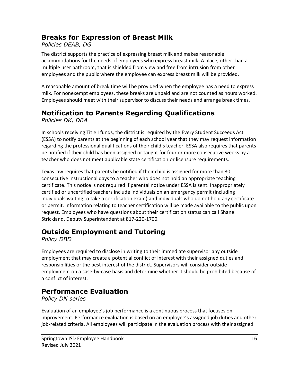### **Breaks for Expression of Breast Milk**

#### *Policies DEAB, DG*

The district supports the practice of expressing breast milk and makes reasonable accommodations for the needs of employees who express breast milk. A place, other than a multiple user bathroom, that is shielded from view and free from intrusion from other employees and the public where the employee can express breast milk will be provided.

A reasonable amount of break time will be provided when the employee has a need to express milk. For nonexempt employees, these breaks are unpaid and are not counted as hours worked. Employees should meet with their supervisor to discuss their needs and arrange break times.

### **Notification to Parents Regarding Qualifications**

*Policies DK, DBA*

In schools receiving Title I funds, the district is required by the Every Student Succeeds Act (ESSA) to notify parents at the beginning of each school year that they may request information regarding the professional qualifications of their child's teacher. ESSA also requires that parents be notified if their child has been assigned or taught for four or more consecutive weeks by a teacher who does not meet applicable state certification or licensure requirements.

Texas law requires that parents be notified if their child is assigned for more than 30 consecutive instructional days to a teacher who does not hold an appropriate teaching certificate. This notice is not required if parental notice under ESSA is sent. Inappropriately certified or uncertified teachers include individuals on an emergency permit (including individuals waiting to take a certification exam) and individuals who do not hold any certificate or permit. Information relating to teacher certification will be made available to the public upon request. Employees who have questions about their certification status can call Shane Strickland, Deputy Superintendent at 817-220-1700.

### **Outside Employment and Tutoring**

*Policy DBD*

Employees are required to disclose in writing to their immediate supervisor any outside employment that may create a potential conflict of interest with their assigned duties and responsibilities or the best interest of the district. Supervisors will consider outside employment on a case-by-case basis and determine whether it should be prohibited because of a conflict of interest.

### **Performance Evaluation**

*Policy DN series*

Evaluation of an employee's job performance is a continuous process that focuses on improvement. Performance evaluation is based on an employee's assigned job duties and other job-related criteria. All employees will participate in the evaluation process with their assigned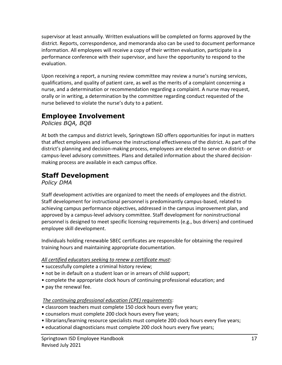supervisor at least annually. Written evaluations will be completed on forms approved by the district. Reports, correspondence, and memoranda also can be used to document performance information. All employees will receive a copy of their written evaluation, participate in a performance conference with their supervisor, and have the opportunity to respond to the evaluation.

Upon receiving a report, a nursing review committee may review a nurse's nursing services, qualifications, and quality of patient care, as well as the merits of a complaint concerning a nurse, and a determination or recommendation regarding a complaint. A nurse may request, orally or in writing, a determination by the committee regarding conduct requested of the nurse believed to violate the nurse's duty to a patient.

### **Employee Involvement**

*Policies BQA, BQB*

At both the campus and district levels, Springtown ISD offers opportunities for input in matters that affect employees and influence the instructional effectiveness of the district. As part of the district's planning and decision-making process, employees are elected to serve on district- or campus-level advisory committees. Plans and detailed information about the shared decisionmaking process are available in each campus office.

### **Staff Development**

*Policy DMA*

Staff development activities are organized to meet the needs of employees and the district. Staff development for instructional personnel is predominantly campus-based, related to achieving campus performance objectives, addressed in the campus improvement plan, and approved by a campus-level advisory committee. Staff development for noninstructional personnel is designed to meet specific licensing requirements (e.g., bus drivers) and continued employee skill development.

Individuals holding renewable SBEC certificates are responsible for obtaining the required training hours and maintaining appropriate documentation.

#### *All certified educators seeking to renew a certificate must*:

- successfully complete a criminal history review;
- not be in default on a student loan or in arrears of child support;
- complete the appropriate clock hours of continuing professional education; and
- pay the renewal fee.

#### *The continuing professional education (CPE) requirements*:

- classroom teachers must complete 150 clock hours every five years;
- counselors must complete 200 clock hours every five years;
- librarians/learning resource specialists must complete 200 clock hours every five years;
- educational diagnosticians must complete 200 clock hours every five years;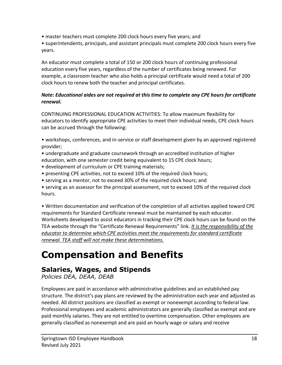• master teachers must complete 200 clock hours every five years; and

• superintendents, principals, and assistant principals must complete 200 clock hours every five years.

An educator must complete a total of 150 or 200 clock hours of continuing professional education every five years, regardless of the number of certificates being renewed. For example, a classroom teacher who also holds a principal certificate would need a total of 200 clock hours to renew both the teacher and principal certificates.

#### *Note: Educational aides are not required at this time to complete any CPE hours for certificate renewal.*

CONTINUING PROFESSIONAL EDUCATION ACTIVITIES: To allow maximum flexibility for educators to identify appropriate CPE activities to meet their individual needs, CPE clock hours can be accrued through the following:

• workshops, conferences, and in-service or staff development given by an approved registered provider;

- undergraduate and graduate coursework through an accredited institution of higher
- education, with one semester credit being equivalent to 15 CPE clock hours;
- development of curriculum or CPE training materials;
- presenting CPE activities, not to exceed 10% of the required clock hours;
- serving as a mentor, not to exceed 30% of the required clock hours; and
- serving as an assessor for the principal assessment, not to exceed 10% of the required clock hours.

• Written documentation and verification of the completion of all activities applied toward CPE requirements for Standard Certificate renewal must be maintained by each educator. Worksheets developed to assist educators in tracking their CPE clock hours can be found on the TEA website through the "Certificate Renewal Requirements" link. *It is the responsibility of the educator to determine which CPE activities meet the requirements for standard certificate renewal. TEA staff will not make these determinations.*

## **Compensation and Benefits**

### **Salaries, Wages, and Stipends**

*Policies DEA, DEAA, DEAB*

Employees are paid in accordance with administrative guidelines and an established pay structure. The district's pay plans are reviewed by the administration each year and adjusted as needed. All district positions are classified as exempt or nonexempt according to federal law. Professional employees and academic administrators are generally classified as exempt and are paid monthly salaries. They are not entitled to overtime compensation. Other employees are generally classified as nonexempt and are paid an hourly wage or salary and receive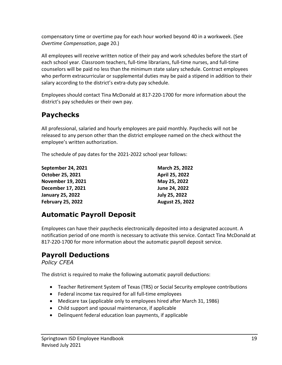compensatory time or overtime pay for each hour worked beyond 40 in a workweek. (See *Overtime Compensation*, page 20.)

All employees will receive written notice of their pay and work schedules before the start of each school year. Classroom teachers, full-time librarians, full-time nurses, and full-time counselors will be paid no less than the minimum state salary schedule. Contract employees who perform extracurricular or supplemental duties may be paid a stipend in addition to their salary according to the district's extra-duty pay schedule.

Employees should contact Tina McDonald at 817-220-1700 for more information about the district's pay schedules or their own pay.

### **Paychecks**

All professional, salaried and hourly employees are paid monthly. Paychecks will not be released to any person other than the district employee named on the check without the employee's written authorization.

The schedule of pay dates for the 2021-2022 school year follows:

| September 24, 2021       | March 25, 2022         |
|--------------------------|------------------------|
| October 25, 2021         | April 25, 2022         |
| <b>November 19, 2021</b> | May 25, 2022           |
| December 17, 2021        | June 24, 2022          |
| <b>January 25, 2022</b>  | July 25, 2022          |
| <b>February 25, 2022</b> | <b>August 25, 2022</b> |

### **Automatic Payroll Deposit**

Employees can have their paychecks electronically deposited into a designated account. A notification period of one month is necessary to activate this service. Contact Tina McDonald at 817-220-1700 for more information about the automatic payroll deposit service.

### **Payroll Deductions**

*Policy CFEA*

The district is required to make the following automatic payroll deductions:

- Teacher Retirement System of Texas (TRS) or Social Security employee contributions
- Federal income tax required for all full-time employees
- Medicare tax (applicable only to employees hired after March 31, 1986)
- Child support and spousal maintenance, if applicable
- Delinquent federal education loan payments, if applicable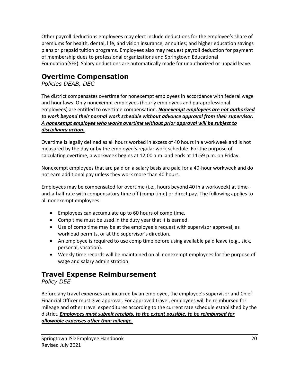Other payroll deductions employees may elect include deductions for the employee's share of premiums for health, dental, life, and vision insurance; annuities; and higher education savings plans or prepaid tuition programs. Employees also may request payroll deduction for payment of membership dues to professional organizations and Springtown Educational Foundation(SEF). Salary deductions are automatically made for unauthorized or unpaid leave.

### **Overtime Compensation**

*Policies DEAB, DEC*

The district compensates overtime for nonexempt employees in accordance with federal wage and hour laws. Only nonexempt employees (hourly employees and paraprofessional employees) are entitled to overtime compensation. *Nonexempt employees are not authorized to work beyond their normal work schedule without advance approval from their supervisor. A nonexempt employee who works overtime without prior approval will be subject to disciplinary action.*

Overtime is legally defined as all hours worked in excess of 40 hours in a workweek and is not measured by the day or by the employee's regular work schedule. For the purpose of calculating overtime, a workweek begins at 12:00 a.m. and ends at 11:59 p.m. on Friday.

Nonexempt employees that are paid on a salary basis are paid for a 40-hour workweek and do not earn additional pay unless they work more than 40 hours.

Employees may be compensated for overtime (i.e., hours beyond 40 in a workweek) at timeand-a-half rate with compensatory time off (comp time) or direct pay. The following applies to all nonexempt employees:

- Employees can accumulate up to 60 hours of comp time.
- Comp time must be used in the duty year that it is earned.
- Use of comp time may be at the employee's request with supervisor approval, as workload permits, or at the supervisor's direction.
- An employee is required to use comp time before using available paid leave (e.g., sick, personal, vacation).
- Weekly time records will be maintained on all nonexempt employees for the purpose of wage and salary administration.

### **Travel Expense Reimbursement**

#### *Policy DEE*

Before any travel expenses are incurred by an employee, the employee's supervisor and Chief Financial Officer must give approval. For approved travel, employees will be reimbursed for mileage and other travel expenditures according to the current rate schedule established by the district. *Employees must submit receipts, to the extent possible, to be reimbursed for allowable expenses other than mileage.*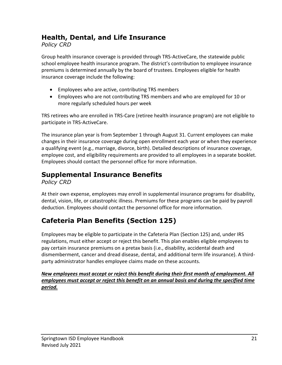### **Health, Dental, and Life Insurance**

*Policy CRD*

Group health insurance coverage is provided through TRS-ActiveCare, the statewide public school employee health insurance program. The district's contribution to employee insurance premiums is determined annually by the board of trustees. Employees eligible for health insurance coverage include the following:

- Employees who are active, contributing TRS members
- Employees who are not contributing TRS members and who are employed for 10 or more regularly scheduled hours per week

TRS retirees who are enrolled in TRS-Care (retiree health insurance program) are not eligible to participate in TRS-ActiveCare.

The insurance plan year is from September 1 through August 31. Current employees can make changes in their insurance coverage during open enrollment each year or when they experience a qualifying event (e.g., marriage, divorce, birth). Detailed descriptions of insurance coverage, employee cost, and eligibility requirements are provided to all employees in a separate booklet. Employees should contact the personnel office for more information.

### **Supplemental Insurance Benefits**

*Policy CRD*

At their own expense, employees may enroll in supplemental insurance programs for disability, dental, vision, life, or catastrophic illness. Premiums for these programs can be paid by payroll deduction. Employees should contact the personnel office for more information.

### **Cafeteria Plan Benefits (Section 125)**

Employees may be eligible to participate in the Cafeteria Plan (Section 125) and, under IRS regulations, must either accept or reject this benefit. This plan enables eligible employees to pay certain insurance premiums on a pretax basis (i.e., disability, accidental death and dismemberment, cancer and dread disease, dental, and additional term life insurance). A thirdparty administrator handles employee claims made on these accounts.

*New employees must accept or reject this benefit during their first month of employment. All employees must accept or reject this benefit on an annual basis and during the specified time period.*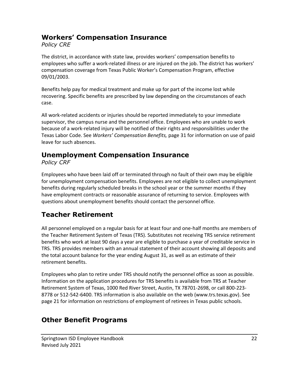### **Workers' Compensation Insurance**

*Policy CRE*

The district, in accordance with state law, provides workers' compensation benefits to employees who suffer a work-related illness or are injured on the job. The district has workers' compensation coverage from Texas Public Worker's Compensation Program, effective 09/01/2003.

Benefits help pay for medical treatment and make up for part of the income lost while recovering. Specific benefits are prescribed by law depending on the circumstances of each case.

All work-related accidents or injuries should be reported immediately to your immediate supervisor, the campus nurse and the personnel office. Employees who are unable to work because of a work-related injury will be notified of their rights and responsibilities under the Texas Labor Code. See *Workers' Compensation Benefits,* page 31 for information on use of paid leave for such absences.

### **Unemployment Compensation Insurance**

*Policy CRF*

Employees who have been laid off or terminated through no fault of their own may be eligible for unemployment compensation benefits. Employees are not eligible to collect unemployment benefits during regularly scheduled breaks in the school year or the summer months if they have employment contracts or reasonable assurance of returning to service. Employees with questions about unemployment benefits should contact the personnel office.

### **Teacher Retirement**

All personnel employed on a regular basis for at least four and one-half months are members of the Teacher Retirement System of Texas (TRS). Substitutes not receiving TRS service retirement benefits who work at least 90 days a year are eligible to purchase a year of creditable service in TRS. TRS provides members with an annual statement of their account showing all deposits and the total account balance for the year ending August 31, as well as an estimate of their retirement benefits.

Employees who plan to retire under TRS should notify the personnel office as soon as possible. Information on the application procedures for TRS benefits is available from TRS at Teacher Retirement System of Texas, 1000 Red River Street, Austin, TX 78701-2698, or call 800-223- 8778 or 512-542-6400. TRS information is also available on the web (www.trs.texas.gov). See page 21 for information on restrictions of employment of retirees in Texas public schools.

### **Other Benefit Programs**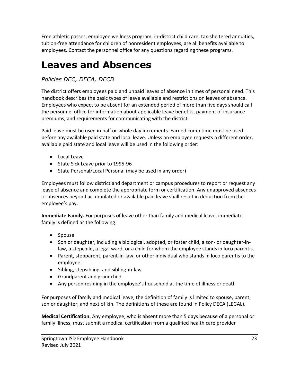Free athletic passes, employee wellness program, in-district child care, tax-sheltered annuities, tuition-free attendance for children of nonresident employees, are all benefits available to employees. Contact the personnel office for any questions regarding these programs.

## **Leaves and Absences**

#### *Policies DEC, DECA, DECB*

The district offers employees paid and unpaid leaves of absence in times of personal need. This handbook describes the basic types of leave available and restrictions on leaves of absence. Employees who expect to be absent for an extended period of more than five days should call the personnel office for information about applicable leave benefits, payment of insurance premiums, and requirements for communicating with the district.

Paid leave must be used in half or whole day increments. Earned comp time must be used before any available paid state and local leave. Unless an employee requests a different order, available paid state and local leave will be used in the following order:

- Local Leave
- State Sick Leave prior to 1995-96
- State Personal/Local Personal (may be used in any order)

Employees must follow district and department or campus procedures to report or request any leave of absence and complete the appropriate form or certification. Any unapproved absences or absences beyond accumulated or available paid leave shall result in deduction from the employee's pay.

**Immediate Family.** For purposes of leave other than family and medical leave, immediate family is defined as the following:

- Spouse
- Son or daughter, including a biological, adopted, or foster child, a son- or daughter-inlaw, a stepchild, a legal ward, or a child for whom the employee stands in loco parentis.
- Parent, stepparent, parent-in-law, or other individual who stands in loco parentis to the employee.
- Sibling, stepsibling, and sibling-in-law
- Grandparent and grandchild
- Any person residing in the employee's household at the time of illness or death

For purposes of family and medical leave, the definition of family is limited to spouse, parent, son or daughter, and next of kin. The definitions of these are found in Policy DECA (LEGAL).

**Medical Certification.** Any employee, who is absent more than 5 days because of a personal or family illness, must submit a medical certification from a qualified health care provider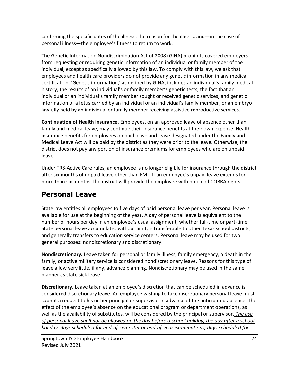confirming the specific dates of the illness, the reason for the illness, and—in the case of personal illness—the employee's fitness to return to work.

The Genetic Information Nondiscrimination Act of 2008 (GINA) prohibits covered employers from requesting or requiring genetic information of an individual or family member of the individual, except as specifically allowed by this law. To comply with this law, we ask that employees and health care providers do not provide any genetic information in any medical certification. 'Genetic information,' as defined by GINA, includes an individual's family medical history, the results of an individual's or family member's genetic tests, the fact that an individual or an individual's family member sought or received genetic services, and genetic information of a fetus carried by an individual or an individual's family member, or an embryo lawfully held by an individual or family member receiving assistive reproductive services.

**Continuation of Health Insurance.** Employees, on an approved leave of absence other than family and medical leave, may continue their insurance benefits at their own expense. Health insurance benefits for employees on paid leave and leave designated under the Family and Medical Leave Act will be paid by the district as they were prior to the leave. Otherwise, the district does not pay any portion of insurance premiums for employees who are on unpaid leave.

Under TRS-Active Care rules, an employee is no longer eligible for insurance through the district after six months of unpaid leave other than FML. If an employee's unpaid leave extends for more than six months, the district will provide the employee with notice of COBRA rights.

### **Personal Leave**

State law entitles all employees to five days of paid personal leave per year. Personal leave is available for use at the beginning of the year. A day of personal leave is equivalent to the number of hours per day in an employee's usual assignment, whether full-time or part-time. State personal leave accumulates without limit, is transferable to other Texas school districts, and generally transfers to education service centers. Personal leave may be used for two general purposes: nondiscretionary and discretionary.

**Nondiscretionary.** Leave taken for personal or family illness, family emergency, a death in the family, or active military service is considered nondiscretionary leave. Reasons for this type of leave allow very little, if any, advance planning. Nondiscretionary may be used in the same manner as state sick leave.

**Discretionary.** Leave taken at an employee's discretion that can be scheduled in advance is considered discretionary leave. An employee wishing to take discretionary personal leave must submit a request to his or her principal or supervisor in advance of the anticipated absence. The effect of the employee's absence on the educational program or department operations, as well as the availability of substitutes, will be considered by the principal or supervisor. *The use of personal leave shall not be allowed on the day before a school holiday, the day after a school holiday, days scheduled for end-of-semester or end-of-year examinations, days scheduled for*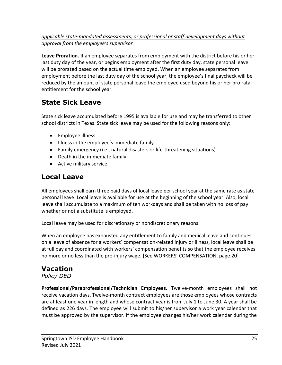#### *applicable state-mandated assessments, or professional or staff development days without approval from the employee's supervisor.*

**Leave Proration.** If an employee separates from employment with the district before his or her last duty day of the year, or begins employment after the first duty day, state personal leave will be prorated based on the actual time employed. When an employee separates from employment before the last duty day of the school year, the employee's final paycheck will be reduced by the amount of state personal leave the employee used beyond his or her pro rata entitlement for the school year.

### **State Sick Leave**

State sick leave accumulated before 1995 is available for use and may be transferred to other school districts in Texas. State sick leave may be used for the following reasons only:

- Employee illness
- Illness in the employee's immediate family
- Family emergency (i.e., natural disasters or life-threatening situations)
- Death in the immediate family
- Active military service

### **Local Leave**

All employees shall earn three paid days of local leave per school year at the same rate as state personal leave. Local leave is available for use at the beginning of the school year. Also, local leave shall accumulate to a maximum of ten workdays and shall be taken with no loss of pay whether or not a substitute is employed.

Local leave may be used for discretionary or nondiscretionary reasons.

When an employee has exhausted any entitlement to family and medical leave and continues on a leave of absence for a workers' compensation-related injury or illness, local leave shall be at full pay and coordinated with workers' compensation benefits so that the employee receives no more or no less than the pre-injury wage. [See WORKERS' COMPENSATION, page 20]

### **Vacation**

*Policy DED*

**Professional/Paraprofessional/Technician Employees.** Twelve-month employees shall not receive vacation days. Twelve-month contract employees are those employees whose contracts are at least one year in length and whose contract year is from July 1 to June 30. A year shall be defined as 226 days. The employee will submit to his/her supervisor a work year calendar that must be approved by the supervisor. If the employee changes his/her work calendar during the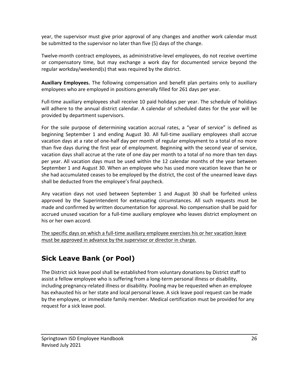year, the supervisor must give prior approval of any changes and another work calendar must be submitted to the supervisor no later than five (5) days of the change.

Twelve-month contract employees, as administrative-level employees, do not receive overtime or compensatory time, but may exchange a work day for documented service beyond the regular workday/weekend(s) that was required by the district.

**Auxiliary Employees.** The following compensation and benefit plan pertains only to auxiliary employees who are employed in positions generally filled for 261 days per year.

Full-time auxiliary employees shall receive 10 paid holidays per year. The schedule of holidays will adhere to the annual district calendar. A calendar of scheduled dates for the year will be provided by department supervisors.

For the sole purpose of determining vacation accrual rates, a "year of service" is defined as beginning September 1 and ending August 30. All full-time auxiliary employees shall accrue vacation days at a rate of one-half day per month of regular employment to a total of no more than five days during the first year of employment. Beginning with the second year of service, vacation days shall accrue at the rate of one day per month to a total of no more than ten days per year. All vacation days must be used within the 12 calendar months of the year between September 1 and August 30. When an employee who has used more vacation leave than he or she had accumulated ceases to be employed by the district, the cost of the unearned leave days shall be deducted from the employee's final paycheck.

Any vacation days not used between September 1 and August 30 shall be forfeited unless approved by the Superintendent for extenuating circumstances. All such requests must be made and confirmed by written documentation for approval. No compensation shall be paid for accrued unused vacation for a full-time auxiliary employee who leaves district employment on his or her own accord.

The specific days on which a full-time auxiliary employee exercises his or her vacation leave must be approved in advance by the supervisor or director in charge.

### **Sick Leave Bank (or Pool)**

The District sick leave pool shall be established from voluntary donations by District staff to assist a fellow employee who is suffering from a long-term personal illness or disability, including pregnancy-related illness or disability. Pooling may be requested when an employee has exhausted his or her state and local personal leave. A sick leave pool request can be made by the employee, or immediate family member. Medical certification must be provided for any request for a sick leave pool.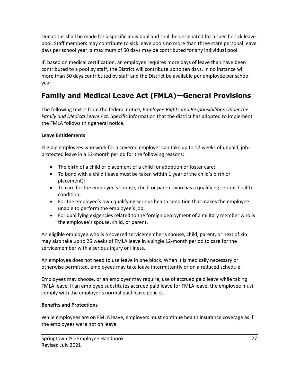Donations shall be made for a specific individual and shall be designated for a specific sick leave pool. Staff members may contribute to sick leave pools no more than three state personal leave days per school year; a maximum of 50 days may be contributed for any individual pool.

If, based on medical certification, an employee requires more days of leave than have been contributed to a pool by staff, the District will contribute up to ten days. In no instance will more than 50 days contributed by staff and the District be available per employee per school year.

### **Family and Medical Leave Act (FMLA)—General Provisions**

The following text is from the federal notice, *Employee Rights and Responsibilities Under the Family and Medical Leave Act*. Specific information that the district has adopted to implement the FMLA follows this general notice.

#### **Leave Entitlements**

Eligible employees who work for a covered employer can take up to 12 weeks of unpaid, jobprotected leave in a 12-month period for the following reasons:

- The birth of a child or placement of a child for adoption or foster care;
- To bond with a child (leave must be taken within 1 year of the child's birth or placement);
- To care for the employee's spouse, child, or parent who has a qualifying serious health condition;
- For the employee's own qualifying serious health condition that makes the employee unable to perform the employee's job;
- For qualifying exigencies related to the foreign deployment of a military member who is the employee's spouse, child, or parent.

An eligible employee who is a covered servicemember's spouse, child, parent, or next of kin may also take up to 26 weeks of FMLA leave in a single 12-month period to care for the servicemember with a serious injury or illness.

An employee does not need to use leave in one block. When it is medically necessary or otherwise permitted, employees may take leave intermittently or on a reduced schedule.

Employees may choose, or an employer may require, use of accrued paid leave while taking FMLA leave. If an employee substitutes accrued paid leave for FMLA leave, the employee must comply with the employer's normal paid leave policies.

#### **Benefits and Protections**

While employees are on FMLA leave, employers must continue health insurance coverage as if the employees were not on leave.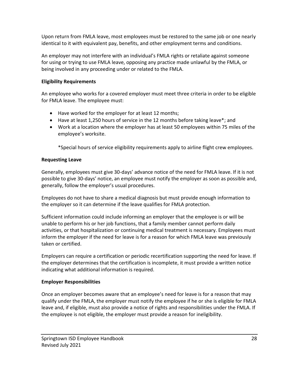Upon return from FMLA leave, most employees must be restored to the same job or one nearly identical to it with equivalent pay, benefits, and other employment terms and conditions.

An employer may not interfere with an individual's FMLA rights or retaliate against someone for using or trying to use FMLA leave, opposing any practice made unlawful by the FMLA, or being involved in any proceeding under or related to the FMLA.

#### **Eligibility Requirements**

An employee who works for a covered employer must meet three criteria in order to be eligible for FMLA leave. The employee must:

- Have worked for the employer for at least 12 months;
- Have at least 1,250 hours of service in the 12 months before taking leave\*; and
- Work at a location where the employer has at least 50 employees within 75 miles of the employee's worksite.

\*Special hours of service eligibility requirements apply to airline flight crew employees.

#### **Requesting Leave**

Generally, employees must give 30-days' advance notice of the need for FMLA leave. If it is not possible to give 30-days' notice, an employee must notify the employer as soon as possible and, generally, follow the employer's usual procedures.

Employees do not have to share a medical diagnosis but must provide enough information to the employer so it can determine if the leave qualifies for FMLA protection.

Sufficient information could include informing an employer that the employee is or will be unable to perform his or her job functions, that a family member cannot perform daily activities, or that hospitalization or continuing medical treatment is necessary. Employees must inform the employer if the need for leave is for a reason for which FMLA leave was previously taken or certified.

Employers can require a certification or periodic recertification supporting the need for leave. If the employer determines that the certification is incomplete, it must provide a written notice indicating what additional information is required.

#### **Employer Responsibilities**

Once an employer becomes aware that an employee's need for leave is for a reason that may qualify under the FMLA, the employer must notify the employee if he or she is eligible for FMLA leave and, if eligible, must also provide a notice of rights and responsibilities under the FMLA. If the employee is not eligible, the employer must provide a reason for ineligibility.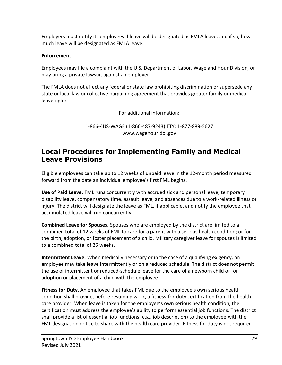Employers must notify its employees if leave will be designated as FMLA leave, and if so, how much leave will be designated as FMLA leave.

#### **Enforcement**

Employees may file a complaint with the U.S. Department of Labor, Wage and Hour Division, or may bring a private lawsuit against an employer.

The FMLA does not affect any federal or state law prohibiting discrimination or supersede any state or local law or collective bargaining agreement that provides greater family or medical leave rights.

For additional information:

1-866-4US-WAGE (1-866-487-9243) TTY: 1-877-889-5627 [www.wagehour.dol.gov](http://www.wagehour.dol.gov/)

### **Local Procedures for Implementing Family and Medical Leave Provisions**

Eligible employees can take up to 12 weeks of unpaid leave in the 12-month period measured forward from the date an individual employee's first FML begins.

**Use of Paid Leave.** FML runs concurrently with accrued sick and personal leave, temporary disability leave, compensatory time, assault leave, and absences due to a work-related illness or injury. The district will designate the leave as FML, if applicable, and notify the employee that accumulated leave will run concurrently.

**Combined Leave for Spouses.** Spouses who are employed by the district are limited to a combined total of 12 weeks of FML to care for a parent with a serious health condition; or for the birth, adoption, or foster placement of a child. Military caregiver leave for spouses is limited to a combined total of 26 weeks.

**Intermittent Leave.** When medically necessary or in the case of a qualifying exigency, an employee may take leave intermittently or on a reduced schedule. The district does not permit the use of intermittent or reduced-schedule leave for the care of a newborn child or for adoption or placement of a child with the employee.

**Fitness for Duty.** An employee that takes FML due to the employee's own serious health condition shall provide, before resuming work, a fitness-for-duty certification from the health care provider. When leave is taken for the employee's own serious health condition, the certification must address the employee's ability to perform essential job functions. The district shall provide a list of essential job functions (e.g., job description) to the employee with the FML designation notice to share with the health care provider. Fitness for duty is not required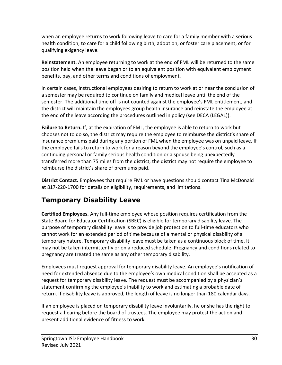when an employee returns to work following leave to care for a family member with a serious health condition; to care for a child following birth, adoption, or foster care placement; or for qualifying exigency leave.

**Reinstatement.** An employee returning to work at the end of FML will be returned to the same position held when the leave began or to an equivalent position with equivalent employment benefits, pay, and other terms and conditions of employment.

In certain cases, instructional employees desiring to return to work at or near the conclusion of a semester may be required to continue on family and medical leave until the end of the semester. The additional time off is not counted against the employee's FML entitlement, and the district will maintain the employees group health insurance and reinstate the employee at the end of the leave according the procedures outlined in policy (see DECA (LEGAL)).

**Failure to Return.** If, at the expiration of FML, the employee is able to return to work but chooses not to do so, the district may require the employee to reimburse the district's share of insurance premiums paid during any portion of FML when the employee was on unpaid leave. If the employee fails to return to work for a reason beyond the employee's control, such as a continuing personal or family serious health condition or a spouse being unexpectedly transferred more than 75 miles from the district, the district may not require the employee to reimburse the district's share of premiums paid.

**District Contact.** Employees that require FML or have questions should contact Tina McDonald at 817-220-1700 for details on eligibility, requirements, and limitations.

### **Temporary Disability Leave**

**Certified Employees.** Any full-time employee whose position requires certification from the State Board for Educator Certification (SBEC) is eligible for temporary disability leave. The purpose of temporary disability leave is to provide job protection to full-time educators who cannot work for an extended period of time because of a mental or physical disability of a temporary nature. Temporary disability leave must be taken as a continuous block of time. It may not be taken intermittently or on a reduced schedule. Pregnancy and conditions related to pregnancy are treated the same as any other temporary disability.

Employees must request approval for temporary disability leave. An employee's notification of need for extended absence due to the employee's own medical condition shall be accepted as a request for temporary disability leave. The request must be accompanied by a physician's statement confirming the employee's inability to work and estimating a probable date of return. If disability leave is approved, the length of leave is no longer than 180 calendar days.

If an employee is placed on temporary disability leave involuntarily, he or she has the right to request a hearing before the board of trustees. The employee may protest the action and present additional evidence of fitness to work.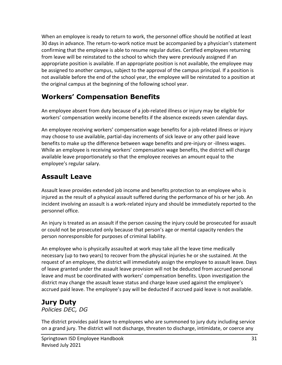When an employee is ready to return to work, the personnel office should be notified at least 30 days in advance. The return-to-work notice must be accompanied by a physician's statement confirming that the employee is able to resume regular duties. Certified employees returning from leave will be reinstated to the school to which they were previously assigned if an appropriate position is available. If an appropriate position is not available, the employee may be assigned to another campus, subject to the approval of the campus principal. If a position is not available before the end of the school year, the employee will be reinstated to a position at the original campus at the beginning of the following school year.

### **Workers' Compensation Benefits**

An employee absent from duty because of a job-related illness or injury may be eligible for workers' compensation weekly income benefits if the absence exceeds seven calendar days.

An employee receiving workers' compensation wage benefits for a job-related illness or injury may choose to use available, partial-day increments of sick leave or any other paid leave benefits to make up the difference between wage benefits and pre-injury or -illness wages. While an employee is receiving workers' compensation wage benefits, the district will charge available leave proportionately so that the employee receives an amount equal to the employee's regular salary.

### **Assault Leave**

Assault leave provides extended job income and benefits protection to an employee who is injured as the result of a physical assault suffered during the performance of his or her job. An incident involving an assault is a work-related injury and should be immediately reported to the personnel office.

An injury is treated as an assault if the person causing the injury could be prosecuted for assault or could not be prosecuted only because that person's age or mental capacity renders the person nonresponsible for purposes of criminal liability.

An employee who is physically assaulted at work may take all the leave time medically necessary (up to two years) to recover from the physical injuries he or she sustained. At the request of an employee, the district will immediately assign the employee to assault leave. Days of leave granted under the assault leave provision will not be deducted from accrued personal leave and must be coordinated with workers' compensation benefits. Upon investigation the district may change the assault leave status and charge leave used against the employee's accrued paid leave. The employee's pay will be deducted if accrued paid leave is not available.

### **Jury Duty**

*Policies DEC, DG*

The district provides paid leave to employees who are summoned to jury duty including service on a grand jury. The district will not discharge, threaten to discharge, intimidate, or coerce any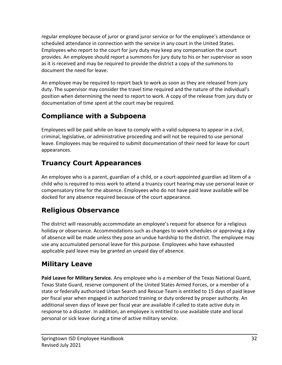regular employee because of juror or grand juror service or for the employee's attendance or scheduled attendance in connection with the service in any court in the United States. Employees who report to the court for jury duty may keep any compensation the court provides. An employee should report a summons for jury duty to his or her supervisor as soon as it is received and may be required to provide the district a copy of the summons to document the need for leave.

An employee may be required to report back to work as soon as they are released from jury duty. The supervisor may consider the travel time required and the nature of the individual's position when determining the need to report to work. A copy of the release from jury duty or documentation of time spent at the court may be required.

### **Compliance with a Subpoena**

Employees will be paid while on leave to comply with a valid subpoena to appear in a civil, criminal, legislative, or administrative proceeding and will not be required to use personal leave. Employees may be required to submit documentation of their need for leave for court appearances.

### **Truancy Court Appearances**

An employee who is a parent, guardian of a child, or a court-appointed guardian ad litem of a child who is required to miss work to attend a truancy court hearing may use personal leave or compensatory time for the absence. Employees who do not have paid leave available will be docked for any absence required because of the court appearance.

### **Religious Observance**

The district will reasonably accommodate an employee's request for absence for a religious holiday or observance. Accommodations such as changes to work schedules or approving a day of absence will be made unless they pose an undue hardship to the district. The employee may use any accumulated personal leave for this purpose. Employees who have exhausted applicable paid leave may be granted an unpaid day of absence.

### **Military Leave**

**Paid Leave for Military Service.** Any employee who is a member of the Texas National Guard, Texas State Guard, reserve component of the United States Armed Forces, or a member of a state or federally authorized Urban Search and Rescue Team is entitled to 15 days of paid leave per fiscal year when engaged in authorized training or duty ordered by proper authority. An additional seven days of leave per fiscal year are available if called to state active duty in response to a disaster. In addition, an employee is entitled to use available state and local personal or sick leave during a time of active military service.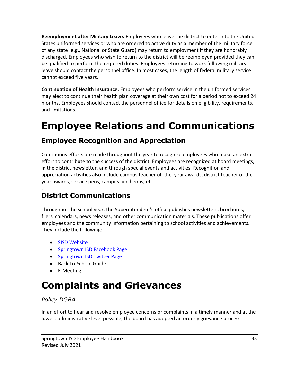**Reemployment after Military Leave.** Employees who leave the district to enter into the United States uniformed services or who are ordered to active duty as a member of the military force of any state (e.g., National or State Guard) may return to employment if they are honorably discharged. Employees who wish to return to the district will be reemployed provided they can be qualified to perform the required duties. Employees returning to work following military leave should contact the personnel office. In most cases, the length of federal military service cannot exceed five years.

**Continuation of Health Insurance.** Employees who perform service in the uniformed services may elect to continue their health plan coverage at their own cost for a period not to exceed 24 months. Employees should contact the personnel office for details on eligibility, requirements, and limitations.

# **Employee Relations and Communications**

### **Employee Recognition and Appreciation**

Continuous efforts are made throughout the year to recognize employees who make an extra effort to contribute to the success of the district. Employees are recognized at board meetings, in the district newsletter, and through special events and activities. Recognition and appreciation activities also include campus teacher of the year awards, district teacher of the year awards, service pens, campus luncheons, etc.

#### . **District Communications**

Throughout the school year, the Superintendent's office publishes newsletters, brochures, fliers, calendars, news releases, and other communication materials. These publications offer employees and the community information pertaining to school activities and achievements. They include the following:

- [SISD Website](https://www.springtownisd.net/site/default.aspx?PageID=1)
- [Springtown ISD Facebook Page](https://www.facebook.com/SpringtownISD/?__tn__=%2Cd%2CP-R&eid=ARB5kBOrSxIJCYiRAAw6joYRuw_EVNmeACuFlq3EnrhxDn5VoQ5LtfjQlVFjLKgm34G-4Panugea3L6B)
- Springtown ISD Twitter Page
- Back-to-School Guide
- E-Meeting

# **Complaints and Grievances**

#### *Policy DGBA*

In an effort to hear and resolve employee concerns or complaints in a timely manner and at the lowest administrative level possible, the board has adopted an orderly grievance process.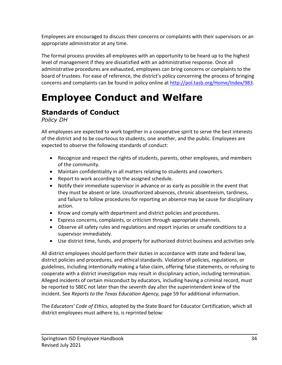Employees are encouraged to discuss their concerns or complaints with their supervisors or an appropriate administrator at any time.

The formal process provides all employees with an opportunity to be heard up to the highest level of management if they are dissatisfied with an administrative response. Once all administrative procedures are exhausted, employees can bring concerns or complaints to the board of trustees. For ease of reference, the district's policy concerning the process of bringing concerns and complaints can be found in policy online at [http://pol.tasb.org/Home/Index/983.](http://pol.tasb.org/Home/Index/983)

# **Employee Conduct and Welfare**

### **Standards of Conduct**

*Policy DH*

All employees are expected to work together in a cooperative spirit to serve the best interests of the district and to be courteous to students, one another, and the public. Employees are expected to observe the following standards of conduct:

- Recognize and respect the rights of students, parents, other employees, and members of the community.
- Maintain confidentiality in all matters relating to students and coworkers.
- Report to work according to the assigned schedule.
- Notify their immediate supervisor in advance or as early as possible in the event that they must be absent or late. Unauthorized absences, chronic absenteeism, tardiness, and failure to follow procedures for reporting an absence may be cause for disciplinary action.
- Know and comply with department and district policies and procedures.
- Express concerns, complaints, or criticism through appropriate channels.
- Observe all safety rules and regulations and report injuries or unsafe conditions to a supervisor immediately.
- Use district time, funds, and property for authorized district business and activities only.

All district employees should perform their duties in accordance with state and federal law, district policies and procedures, and ethical standards. Violation of policies, regulations, or guidelines, including intentionally making a false claim, offering false statements, or refusing to cooperate with a district investigation may result in disciplinary action, including termination. Alleged incidents of certain misconduct by educators, including having a criminal record, must be reported to SBEC not later than the seventh day after the superintendent knew of the incident. See *Reports to the Texas Education Agency,* page 59 for additional information.

The *Educators' Code of Ethics*, adopted by the State Board for Educator Certification, which all district employees must adhere to, is reprinted below: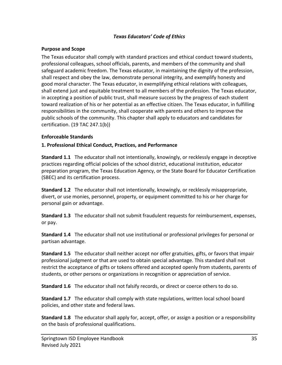#### *Texas Educators' Code of Ethics*

#### **Purpose and Scope**

The Texas educator shall comply with standard practices and ethical conduct toward students, professional colleagues, school officials, parents, and members of the community and shall safeguard academic freedom. The Texas educator, in maintaining the dignity of the profession, shall respect and obey the law, demonstrate personal integrity, and exemplify honesty and good moral character. The Texas educator, in exemplifying ethical relations with colleagues, shall extend just and equitable treatment to all members of the profession. The Texas educator, in accepting a position of public trust, shall measure success by the progress of each student toward realization of his or her potential as an effective citizen. The Texas educator, in fulfilling responsibilities in the community, shall cooperate with parents and others to improve the public schools of the community. This chapter shall apply to educators and candidates for certification. (19 TAC 247.1(b))

#### **Enforceable Standards**

#### **1. Professional Ethical Conduct, Practices, and Performance**

**Standard 1.1** The educator shall not intentionally, knowingly, or recklessly engage in deceptive practices regarding official policies of the school district, educational institution, educator preparation program, the Texas Education Agency, or the State Board for Educator Certification (SBEC) and its certification process.

**Standard 1.2** The educator shall not intentionally, knowingly, or recklessly misappropriate, divert, or use monies, personnel, property, or equipment committed to his or her charge for personal gain or advantage.

**Standard 1.3** The educator shall not submit fraudulent requests for reimbursement, expenses, or pay.

**Standard 1.4** The educator shall not use institutional or professional privileges for personal or partisan advantage.

**Standard 1.5** The educator shall neither accept nor offer gratuities, gifts, or favors that impair professional judgment or that are used to obtain special advantage. This standard shall not restrict the acceptance of gifts or tokens offered and accepted openly from students, parents of students, or other persons or organizations in recognition or appreciation of service.

**Standard 1.6** The educator shall not falsify records, or direct or coerce others to do so.

**Standard 1.7** The educator shall comply with state regulations, written local school board policies, and other state and federal laws.

**Standard 1.8** The educator shall apply for, accept, offer, or assign a position or a responsibility on the basis of professional qualifications.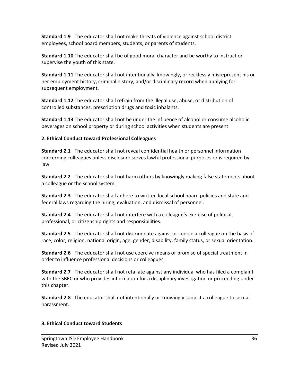**Standard 1.9** The educator shall not make threats of violence against school district employees, school board members, students, or parents of students.

**Standard 1.10** The educator shall be of good moral character and be worthy to instruct or supervise the youth of this state.

**Standard 1.11** The educator shall not intentionally, knowingly, or recklessly misrepresent his or her employment history, criminal history, and/or disciplinary record when applying for subsequent employment.

**Standard 1.12** The educator shall refrain from the illegal use, abuse, or distribution of controlled substances, prescription drugs and toxic inhalants.

**Standard 1.13** The educator shall not be under the influence of alcohol or consume alcoholic beverages on school property or during school activities when students are present.

#### **2. Ethical Conduct toward Professional Colleagues**

**Standard 2.1** The educator shall not reveal confidential health or personnel information concerning colleagues unless disclosure serves lawful professional purposes or is required by law.

**Standard 2.2** The educator shall not harm others by knowingly making false statements about a colleague or the school system.

**Standard 2.3** The educator shall adhere to written local school board policies and state and federal laws regarding the hiring, evaluation, and dismissal of personnel.

**Standard 2.4** The educator shall not interfere with a colleague's exercise of political, professional, or citizenship rights and responsibilities.

**Standard 2.5** The educator shall not discriminate against or coerce a colleague on the basis of race, color, religion, national origin, age, gender, disability, family status, or sexual orientation.

**Standard 2.6** The educator shall not use coercive means or promise of special treatment in order to influence professional decisions or colleagues.

**Standard 2.7** The educator shall not retaliate against any individual who has filed a complaint with the SBEC or who provides information for a disciplinary investigation or proceeding under this chapter.

**Standard 2.8** The educator shall not intentionally or knowingly subject a colleague to sexual harassment.

#### **3. Ethical Conduct toward Students**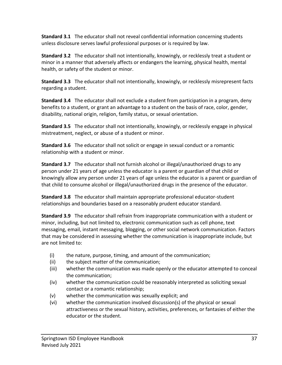**Standard 3.1** The educator shall not reveal confidential information concerning students unless disclosure serves lawful professional purposes or is required by law.

**Standard 3.2** The educator shall not intentionally, knowingly, or recklessly treat a student or minor in a manner that adversely affects or endangers the learning, physical health, mental health, or safety of the student or minor.

**Standard 3.3** The educator shall not intentionally, knowingly, or recklessly misrepresent facts regarding a student.

**Standard 3.4** The educator shall not exclude a student from participation in a program, deny benefits to a student, or grant an advantage to a student on the basis of race, color, gender, disability, national origin, religion, family status, or sexual orientation.

**Standard 3.5** The educator shall not intentionally, knowingly, or recklessly engage in physical mistreatment, neglect, or abuse of a student or minor.

**Standard 3.6** The educator shall not solicit or engage in sexual conduct or a romantic relationship with a student or minor.

**Standard 3.7** The educator shall not furnish alcohol or illegal/unauthorized drugs to any person under 21 years of age unless the educator is a parent or guardian of that child or knowingly allow any person under 21 years of age unless the educator is a parent or guardian of that child to consume alcohol or illegal/unauthorized drugs in the presence of the educator.

**Standard 3.8** The educator shall maintain appropriate professional educator-student relationships and boundaries based on a reasonably prudent educator standard.

**Standard 3.9** The educator shall refrain from inappropriate communication with a student or minor, including, but not limited to, electronic communication such as cell phone, text messaging, email, instant messaging, blogging, or other social network communication. Factors that may be considered in assessing whether the communication is inappropriate include, but are not limited to:

- (i) the nature, purpose, timing, and amount of the communication;
- (ii) the subject matter of the communication;
- (iii) whether the communication was made openly or the educator attempted to conceal the communication;
- (iv) whether the communication could be reasonably interpreted as soliciting sexual contact or a romantic relationship;
- (v) whether the communication was sexually explicit; and
- (vi) whether the communication involved discussion(s) of the physical or sexual attractiveness or the sexual history, activities, preferences, or fantasies of either the educator or the student.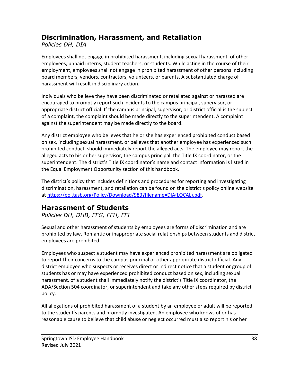### **Discrimination, Harassment, and Retaliation**

*Policies DH, DIA*

Employees shall not engage in prohibited harassment, including sexual harassment, of other employees, unpaid interns, student teachers, or students. While acting in the course of their employment, employees shall not engage in prohibited harassment of other persons including board members, vendors, contractors, volunteers, or parents. A substantiated charge of harassment will result in disciplinary action.

Individuals who believe they have been discriminated or retaliated against or harassed are encouraged to promptly report such incidents to the campus principal, supervisor, or appropriate district official. If the campus principal, supervisor, or district official is the subject of a complaint, the complaint should be made directly to the superintendent. A complaint against the superintendent may be made directly to the board.

Any district employee who believes that he or she has experienced prohibited conduct based on sex, including sexual harassment, or believes that another employee has experienced such prohibited conduct, should immediately report the alleged acts. The employee may report the alleged acts to his or her supervisor, the campus principal, the Title IX coordinator, or the superintendent. The district's Title IX coordinator's name and contact information is listed in the Equal Employment Opportunity section of this handbook.

The district's policy that includes definitions and procedures for reporting and investigating discrimination, harassment, and retaliation can be found on the district's policy online website at [https://pol.tasb.org/Policy/Download/983?filename=DIA\(LOCAL\).pdf.](https://pol.tasb.org/Policy/Download/983?filename=DIA(LOCAL).pdf)

### **Harassment of Students**

*Policies DH, DHB, FFG, FFH, FFI*

Sexual and other harassment of students by employees are forms of discrimination and are prohibited by law. Romantic or inappropriate social relationships between students and district employees are prohibited.

Employees who suspect a student may have experienced prohibited harassment are obligated to report their concerns to the campus principal or other appropriate district official. Any district employee who suspects or receives direct or indirect notice that a student or group of students has or may have experienced prohibited conduct based on sex, including sexual harassment, of a student shall immediately notify the district's Title IX coordinator, the ADA/Section 504 coordinator, or superintendent and take any other steps required by district policy.

All allegations of prohibited harassment of a student by an employee or adult will be reported to the student's parents and promptly investigated. An employee who knows of or has reasonable cause to believe that child abuse or neglect occurred must also report his or her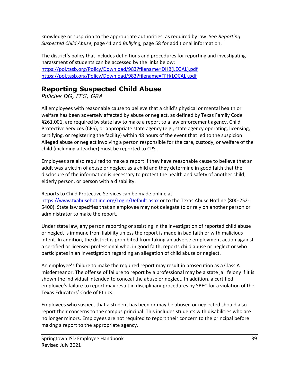knowledge or suspicion to the appropriate authorities, as required by law. See *Reporting Suspected Child Abuse*, page 41 and *Bullying,* page 58 for additional information.

The district's policy that includes definitions and procedures for reporting and investigating harassment of students can be accessed by the links below: [https://pol.tasb.org/Policy/Download/983?filename=DHB\(LEGAL\).pdf](https://pol.tasb.org/Policy/Download/983?filename=DHB(LEGAL).pdf) [https://pol.tasb.org/Policy/Download/983?filename=FFH\(LOCAL\).pdf](https://pol.tasb.org/Policy/Download/983?filename=FFH(LOCAL).pdf)

### **Reporting Suspected Child Abuse**

*Policies DG, FFG, GRA*

All employees with reasonable cause to believe that a child's physical or mental health or welfare has been adversely affected by abuse or neglect, as defined by Texas Family Code §261.001, are required by state law to make a report to a law enforcement agency, Child Protective Services (CPS), or appropriate state agency (e.g., state agency operating, licensing, certifying, or registering the facility) within 48 hours of the event that led to the suspicion. Alleged abuse or neglect involving a person responsible for the care, custody, or welfare of the child (including a teacher) must be reported to CPS.

Employees are also required to make a report if they have reasonable cause to believe that an adult was a victim of abuse or neglect as a child and they determine in good faith that the disclosure of the information is necessary to protect the health and safety of another child, elderly person, or person with a disability.

Reports to Child Protective Services can be made online at <https://www.txabusehotline.org/Login/Default.aspx> or to the Texas Abuse Hotline (800-252- 5400). State law specifies that an employee may not delegate to or rely on another person or administrator to make the report.

Under state law, any person reporting or assisting in the investigation of reported child abuse or neglect is immune from liability unless the report is made in bad faith or with malicious intent. In addition, the district is prohibited from taking an adverse employment action against a certified or licensed professional who, in good faith, reports child abuse or neglect or who participates in an investigation regarding an allegation of child abuse or neglect.

An employee's failure to make the required report may result in prosecution as a Class A misdemeanor. The offense of failure to report by a professional may be a state jail felony if it is shown the individual intended to conceal the abuse or neglect. In addition, a certified employee's failure to report may result in disciplinary procedures by SBEC for a violation of the Texas Educators' Code of Ethics.

Employees who suspect that a student has been or may be abused or neglected should also report their concerns to the campus principal. This includes students with disabilities who are no longer minors. Employees are not required to report their concern to the principal before making a report to the appropriate agency.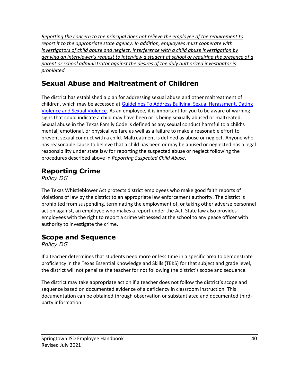*Reporting the concern to the principal does not relieve the employee of the requirement to report it to the appropriate state agency*. *In addition, employees must cooperate with investigators of child abuse and neglect. Interference with a child abuse investigation by denying an interviewer's request to interview a student at school or requiring the presence of a parent or school administrator against the desires of the duly authorized investigator is prohibited.*

### **Sexual Abuse and Maltreatment of Children**

The district has established a plan for addressing sexual abuse and other maltreatment of children, which may be accessed at Guidelines To Address Bullying, Sexual Harassment, Dating [Violence and Sexual Violence.](https://www.springtownisd.net/cms/lib3/TX21000442/Centricity/Domain/1/Bullying_Sex%20Harassment_Dating%20and%20Sexual%20Violence%20Guidelines%20Fall%202017c.pdf) As an employee, it is important for you to be aware of warning signs that could indicate a child may have been or is being sexually abused or maltreated. Sexual abuse in the Texas Family Code is defined as any sexual conduct harmful to a child's mental, emotional, or physical welfare as well as a failure to make a reasonable effort to prevent sexual conduct with a child. Maltreatment is defined as abuse or neglect. Anyone who has reasonable cause to believe that a child has been or may be abused or neglected has a legal responsibility under state law for reporting the suspected abuse or neglect following the procedures described above in *Reporting Suspected Child Abuse*.

### **Reporting Crime**

*Policy DG*

The Texas Whistleblower Act protects district employees who make good faith reports of violations of law by the district to an appropriate law enforcement authority. The district is prohibited from suspending, terminating the employment of, or taking other adverse personnel action against, an employee who makes a report under the Act. State law also provides employees with the right to report a crime witnessed at the school to any peace officer with authority to investigate the crime.

### **Scope and Sequence**

*Policy DG*

If a teacher determines that students need more or less time in a specific area to demonstrate proficiency in the Texas Essential Knowledge and Skills (TEKS) for that subject and grade level, the district will not penalize the teacher for not following the district's scope and sequence.

The district may take appropriate action if a teacher does not follow the district's scope and sequence based on documented evidence of a deficiency in classroom instruction. This documentation can be obtained through observation or substantiated and documented thirdparty information.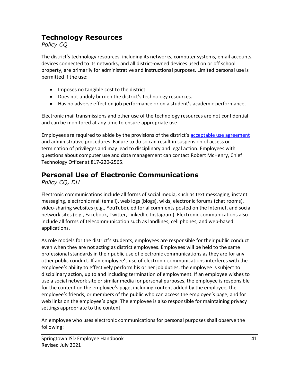### **Technology Resources**

*Policy CQ*

The district's technology resources, including its networks, computer systems, email accounts, devices connected to its networks, and all district-owned devices used on or off school property, are primarily for administrative and instructional purposes. Limited personal use is permitted if the use:

- Imposes no tangible cost to the district.
- Does not unduly burden the district's technology resources.
- Has no adverse effect on job performance or on a student's academic performance.

Electronic mail transmissions and other use of the technology resources are not confidential and can be monitored at any time to ensure appropriate use.

Employees are required to abide by the provisions of the district's [acceptable use agreement](https://www.springtownisd.net/Page/13155) and administrative procedures. Failure to do so can result in suspension of access or termination of privileges and may lead to disciplinary and legal action. Employees with questions about computer use and data management can contact Robert McHenry, Chief Technology Officer at 817-220-2565.

### **Personal Use of Electronic Communications**

*Policy CQ, DH*

Electronic communications include all forms of social media, such as text messaging, instant messaging, electronic mail (email), web logs (blogs), wikis, electronic forums (chat rooms), video-sharing websites (e.g., YouTube), editorial comments posted on the Internet, and social network sites (e.g., Facebook, Twitter, LinkedIn, Instagram). Electronic communications also include all forms of telecommunication such as landlines, cell phones, and web-based applications.

As role models for the district's students, employees are responsible for their public conduct even when they are not acting as district employees. Employees will be held to the same professional standards in their public use of electronic communications as they are for any other public conduct. If an employee's use of electronic communications interferes with the employee's ability to effectively perform his or her job duties, the employee is subject to disciplinary action, up to and including termination of employment. If an employee wishes to use a social network site or similar media for personal purposes, the employee is responsible for the content on the employee's page, including content added by the employee, the employee's friends, or members of the public who can access the employee's page, and for web links on the employee's page. The employee is also responsible for maintaining privacy settings appropriate to the content.

An employee who uses electronic communications for personal purposes shall observe the following: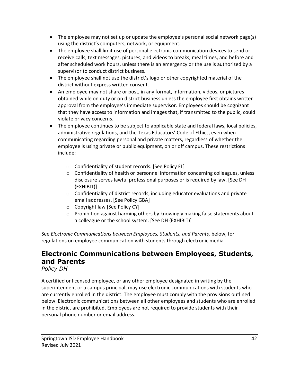- The employee may not set up or update the employee's personal social network page(s) using the district's computers, network, or equipment.
- The employee shall limit use of personal electronic communication devices to send or receive calls, text messages, pictures, and videos to breaks, meal times, and before and after scheduled work hours, unless there is an emergency or the use is authorized by a supervisor to conduct district business.
- The employee shall not use the district's logo or other copyrighted material of the district without express written consent.
- An employee may not share or post, in any format, information, videos, or pictures obtained while on duty or on district business unless the employee first obtains written approval from the employee's immediate supervisor. Employees should be cognizant that they have access to information and images that, if transmitted to the public, could violate privacy concerns.
- The employee continues to be subject to applicable state and federal laws, local policies, administrative regulations, and the Texas Educators' Code of Ethics, even when communicating regarding personal and private matters, regardless of whether the employee is using private or public equipment, on or off campus. These restrictions include:
	- o Confidentiality of student records. [See Policy FL]
	- $\circ$  Confidentiality of health or personnel information concerning colleagues, unless disclosure serves lawful professional purposes or is required by law. [See DH (EXHIBIT)]
	- $\circ$  Confidentiality of district records, including educator evaluations and private email addresses. [See Policy GBA]
	- o Copyright law [See Policy CY]
	- $\circ$  Prohibition against harming others by knowingly making false statements about a colleague or the school system. [See DH (EXHIBIT)]

See *Electronic Communications between Employees, Students, and Parents,* below, for regulations on employee communication with students through electronic media.

### **Electronic Communications between Employees, Students, and Parents**

*Policy DH*

A certified or licensed employee, or any other employee designated in writing by the superintendent or a campus principal, may use electronic communications with students who are currently enrolled in the district. The employee must comply with the provisions outlined below. Electronic communications between all other employees and students who are enrolled in the district are prohibited. Employees are not required to provide students with their personal phone number or email address.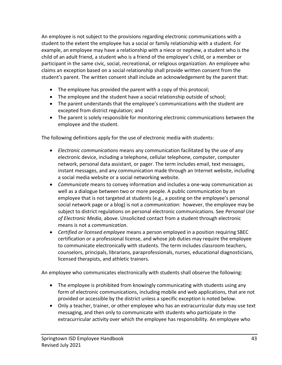An employee is not subject to the provisions regarding electronic communications with a student to the extent the employee has a social or family relationship with a student. For example, an employee may have a relationship with a niece or nephew, a student who is the child of an adult friend, a student who is a friend of the employee's child, or a member or participant in the same civic, social, recreational, or religious organization. An employee who claims an exception based on a social relationship shall provide written consent from the student's parent. The written consent shall include an acknowledgement by the parent that:

- The employee has provided the parent with a copy of this protocol;
- The employee and the student have a social relationship outside of school;
- The parent understands that the employee's communications with the student are excepted from district regulation; and
- The parent is solely responsible for monitoring electronic communications between the employee and the student.

The following definitions apply for the use of electronic media with students:

- *Electronic communications* means any communication facilitated by the use of any electronic device, including a telephone, cellular telephone, computer, computer network, personal data assistant, or pager. The term includes email, text messages, instant messages, and any communication made through an Internet website, including a social media website or a social networking website.
- *Communicate* means to convey information and includes a one-way communication as well as a dialogue between two or more people. A public communication by an employee that is not targeted at students (e.g., a posting on the employee's personal social network page or a blog) is not a *communication*: however, the employee may be subject to district regulations on personal electronic communications. See *Personal Use of Electronic Media*, above. Unsolicited contact from a student through electronic means is not a *communication*.
- *Certified or licensed employee* means a person employed in a position requiring SBEC certification or a professional license, and whose job duties may require the employee to communicate electronically with students. The term includes classroom teachers, counselors, principals, librarians, paraprofessionals, nurses, educational diagnosticians, licensed therapists, and athletic trainers.

An employee who communicates electronically with students shall observe the following:

- The employee is prohibited from knowingly communicating with students using any form of electronic communications, including mobile and web applications, that are not provided or accessible by the district unless a specific exception is noted below.
- Only a teacher, trainer, or other employee who has an extracurricular duty may use text messaging, and then only to communicate with students who participate in the extracurricular activity over which the employee has responsibility. An employee who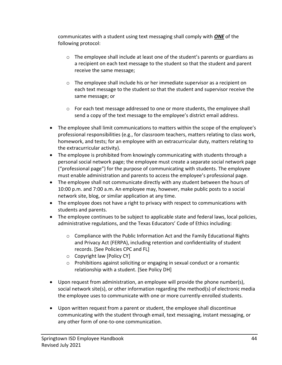communicates with a student using text messaging shall comply with *ONE* of the following protocol:

- $\circ$  The employee shall include at least one of the student's parents or guardians as a recipient on each text message to the student so that the student and parent receive the same message;
- $\circ$  The employee shall include his or her immediate supervisor as a recipient on each text message to the student so that the student and supervisor receive the same message; or
- o For each text message addressed to one or more students, the employee shall send a copy of the text message to the employee's district email address.
- The employee shall limit communications to matters within the scope of the employee's professional responsibilities (e.g., for classroom teachers, matters relating to class work, homework, and tests; for an employee with an extracurricular duty, matters relating to the extracurricular activity).
- The employee is prohibited from knowingly communicating with students through a personal social network page; the employee must create a separate social network page ("professional page") for the purpose of communicating with students. The employee must enable administration and parents to access the employee's professional page.
- The employee shall not communicate directly with any student between the hours of 10:00 p.m. and 7:00 a.m. An employee may, however, make public posts to a social network site, blog, or similar application at any time.
- The employee does not have a right to privacy with respect to communications with students and parents.
- The employee continues to be subject to applicable state and federal laws, local policies, administrative regulations, and the Texas Educators' Code of Ethics including:
	- $\circ$  Compliance with the Public Information Act and the Family Educational Rights and Privacy Act (FERPA), including retention and confidentiality of student records. [See Policies CPC and FL]
	- o Copyright law [Policy CY]
	- $\circ$  Prohibitions against soliciting or engaging in sexual conduct or a romantic relationship with a student. [See Policy DH]
- Upon request from administration, an employee will provide the phone number(s), social network site(s), or other information regarding the method(s) of electronic media the employee uses to communicate with one or more currently-enrolled students.
- Upon written request from a parent or student, the employee shall discontinue communicating with the student through email, text messaging, instant messaging, or any other form of one-to-one communication.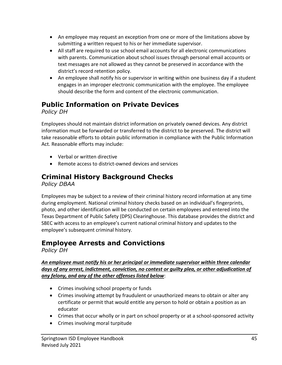- An employee may request an exception from one or more of the limitations above by submitting a written request to his or her immediate supervisor.
- All staff are required to use school email accounts for all electronic communications with parents. Communication about school issues through personal email accounts or text messages are not allowed as they cannot be preserved in accordance with the district's record retention policy.
- An employee shall notify his or supervisor in writing within one business day if a student engages in an improper electronic communication with the employee. The employee should describe the form and content of the electronic communication.

### **Public Information on Private Devices**

*Policy DH*

Employees should not maintain district information on privately owned devices. Any district information must be forwarded or transferred to the district to be preserved. The district will take reasonable efforts to obtain public information in compliance with the Public Information Act. Reasonable efforts may include:

- Verbal or written directive
- Remote access to district-owned devices and services

### **Criminal History Background Checks**

*Policy DBAA*

Employees may be subject to a review of their criminal history record information at any time during employment. National criminal history checks based on an individual's fingerprints, photo, and other identification will be conducted on certain employees and entered into the Texas Department of Public Safety (DPS) Clearinghouse. This database provides the district and SBEC with access to an employee's current national criminal history and updates to the employee's subsequent criminal history.

### **Employee Arrests and Convictions**

*Policy DH*

*An employee must notify his or her principal or immediate supervisor within three calendar days of any arrest, indictment, conviction, no contest or guilty plea, or other adjudication of any felony, and any of the other offenses listed below*:

- Crimes involving school property or funds
- Crimes involving attempt by fraudulent or unauthorized means to obtain or alter any certificate or permit that would entitle any person to hold or obtain a position as an educator
- Crimes that occur wholly or in part on school property or at a school-sponsored activity
- Crimes involving moral turpitude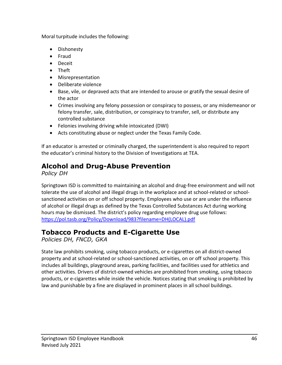Moral turpitude includes the following:

- Dishonesty
- Fraud
- Deceit
- Theft
- Misrepresentation
- Deliberate violence
- Base, vile, or depraved acts that are intended to arouse or gratify the sexual desire of the actor
- Crimes involving any felony possession or conspiracy to possess, or any misdemeanor or felony transfer, sale, distribution, or conspiracy to transfer, sell, or distribute any controlled substance
- Felonies involving driving while intoxicated (DWI)
- Acts constituting abuse or neglect under the Texas Family Code.

If an educator is arrested or criminally charged, the superintendent is also required to report the educator's criminal history to the Division of Investigations at TEA.

### **Alcohol and Drug-Abuse Prevention**

*Policy DH*

Springtown ISD is committed to maintaining an alcohol and drug-free environment and will not tolerate the use of alcohol and illegal drugs in the workplace and at school-related or schoolsanctioned activities on or off school property. Employees who use or are under the influence of alcohol or illegal drugs as defined by the Texas Controlled Substances Act during working hours may be dismissed. The district's policy regarding employee drug use follows: [https://pol.tasb.org/Policy/Download/983?filename=DH\(LOCAL\).pdf](https://pol.tasb.org/Policy/Download/983?filename=DH(LOCAL).pdf)

### **Tobacco Products and E-Cigarette Use**

*Policies DH, FNCD, GKA*

State law prohibits smoking, using tobacco products, or e-cigarettes on all district-owned property and at school-related or school-sanctioned activities, on or off school property. This includes all buildings, playground areas, parking facilities, and facilities used for athletics and other activities. Drivers of district-owned vehicles are prohibited from smoking, using tobacco products, or e-cigarettes while inside the vehicle. Notices stating that smoking is prohibited by law and punishable by a fine are displayed in prominent places in all school buildings.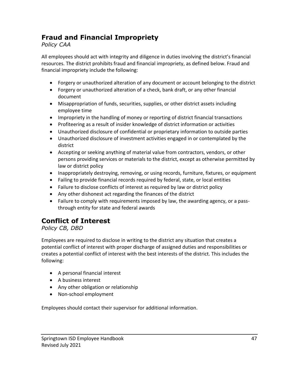### **Fraud and Financial Impropriety**

#### *Policy CAA*

All employees should act with integrity and diligence in duties involving the district's financial resources. The district prohibits fraud and financial impropriety, as defined below. Fraud and financial impropriety include the following:

- Forgery or unauthorized alteration of any document or account belonging to the district
- Forgery or unauthorized alteration of a check, bank draft, or any other financial document
- Misappropriation of funds, securities, supplies, or other district assets including employee time
- Impropriety in the handling of money or reporting of district financial transactions
- Profiteering as a result of insider knowledge of district information or activities
- Unauthorized disclosure of confidential or proprietary information to outside parties
- Unauthorized disclosure of investment activities engaged in or contemplated by the district
- Accepting or seeking anything of material value from contractors, vendors, or other persons providing services or materials to the district, except as otherwise permitted by law or district policy
- Inappropriately destroying, removing, or using records, furniture, fixtures, or equipment
- Failing to provide financial records required by federal, state, or local entities
- Failure to disclose conflicts of interest as required by law or district policy
- Any other dishonest act regarding the finances of the district
- Failure to comply with requirements imposed by law, the awarding agency, or a passthrough entity for state and federal awards

### **Conflict of Interest**

#### *Policy CB, DBD*

Employees are required to disclose in writing to the district any situation that creates a potential conflict of interest with proper discharge of assigned duties and responsibilities or creates a potential conflict of interest with the best interests of the district. This includes the following:

- A personal financial interest
- A business interest
- Any other obligation or relationship
- Non-school employment

Employees should contact their supervisor for additional information.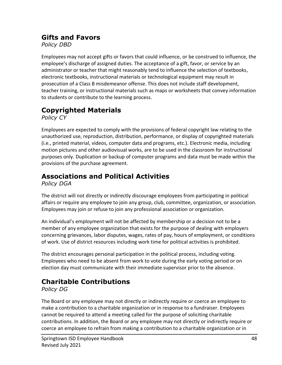### **Gifts and Favors**

*Policy DBD*

Employees may not accept gifts or favors that could influence, or be construed to influence, the employee's discharge of assigned duties. The acceptance of a gift, favor, or service by an administrator or teacher that might reasonably tend to influence the selection of textbooks, electronic textbooks, instructional materials or technological equipment may result in prosecution of a Class B misdemeanor offense. This does not include staff development, teacher training, or instructional materials such as maps or worksheets that convey information to students or contribute to the learning process.

### **Copyrighted Materials**

*Policy CY*

Employees are expected to comply with the provisions of federal copyright law relating to the unauthorized use, reproduction, distribution, performance, or display of copyrighted materials (i.e., printed material, videos, computer data and programs, etc.). Electronic media, including motion pictures and other audiovisual works, are to be used in the classroom for instructional purposes only. Duplication or backup of computer programs and data must be made within the provisions of the purchase agreement.

### **Associations and Political Activities**

*Policy DGA*

The district will not directly or indirectly discourage employees from participating in political affairs or require any employee to join any group, club, committee, organization, or association. Employees may join or refuse to join any professional association or organization.

An individual's employment will not be affected by membership or a decision not to be a member of any employee organization that exists for the purpose of dealing with employers concerning grievances, labor disputes, wages, rates of pay, hours of employment, or conditions of work. Use of district resources including work time for political activities is prohibited.

The district encourages personal participation in the political process, including voting. Employees who need to be absent from work to vote during the early voting period or on election day must communicate with their immediate supervisor prior to the absence.

### **Charitable Contributions**

*Policy DG*

The Board or any employee may not directly or indirectly require or coerce an employee to make a contribution to a charitable organization or in response to a fundraiser. Employees cannot be required to attend a meeting called for the purpose of soliciting charitable contributions. In addition, the Board or any employee may not directly or indirectly require or coerce an employee to refrain from making a contribution to a charitable organization or in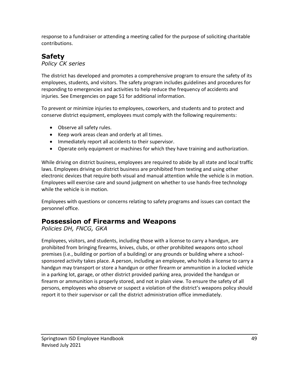response to a fundraiser or attending a meeting called for the purpose of soliciting charitable contributions.

### **Safety**

*Policy CK series*

The district has developed and promotes a comprehensive program to ensure the safety of its employees, students, and visitors. The safety program includes guidelines and procedures for responding to emergencies and activities to help reduce the frequency of accidents and injuries. See Emergencies on page 51 for additional information.

To prevent or minimize injuries to employees, coworkers, and students and to protect and conserve district equipment, employees must comply with the following requirements:

- Observe all safety rules.
- Keep work areas clean and orderly at all times.
- Immediately report all accidents to their supervisor.
- Operate only equipment or machines for which they have training and authorization.

While driving on district business, employees are required to abide by all state and local traffic laws. Employees driving on district business are prohibited from texting and using other electronic devices that require both visual and manual attention while the vehicle is in motion. Employees will exercise care and sound judgment on whether to use hands-free technology while the vehicle is in motion.

Employees with questions or concerns relating to safety programs and issues can contact the personnel office.

### **Possession of Firearms and Weapons**

*Policies DH, FNCG, GKA*

Employees, visitors, and students, including those with a license to carry a handgun, are prohibited from bringing firearms, knives, clubs, or other prohibited weapons onto school premises (i.e., building or portion of a building) or any grounds or building where a schoolsponsored activity takes place. A person, including an employee, who holds a license to carry a handgun may transport or store a handgun or other firearm or ammunition in a locked vehicle in a parking lot, garage, or other district provided parking area, provided the handgun or firearm or ammunition is properly stored, and not in plain view. To ensure the safety of all persons, employees who observe or suspect a violation of the district's weapons policy should report it to their supervisor or call the district administration office immediately.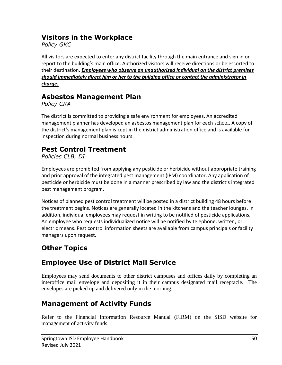### **Visitors in the Workplace**

*Policy GKC*

All visitors are expected to enter any district facility through the main entrance and sign in or report to the building's main office. Authorized visitors will receive directions or be escorted to their destination. *Employees who observe an unauthorized individual on the district premises should immediately direct him or her to the building office or contact the administrator in charge.*

### **Asbestos Management Plan**

*Policy CKA*

The district is committed to providing a safe environment for employees. An accredited management planner has developed an asbestos management plan for each school. A copy of the district's management plan is kept in the district administration office and is available for inspection during normal business hours.

### **Pest Control Treatment**

*Policies CLB, DI*

Employees are prohibited from applying any pesticide or herbicide without appropriate training and prior approval of the integrated pest management (IPM) coordinator. Any application of pesticide or herbicide must be done in a manner prescribed by law and the district's integrated pest management program.

Notices of planned pest control treatment will be posted in a district building 48 hours before the treatment begins. Notices are generally located in the kitchens and the teacher lounges. In addition, individual employees may request in writing to be notified of pesticide applications. An employee who requests individualized notice will be notified by telephone, written, or electric means. Pest control information sheets are available from campus principals or facility managers upon request.

### **Other Topics**

### **Employee Use of District Mail Service**

Employees may send documents to other district campuses and offices daily by completing an interoffice mail envelope and depositing it in their campus designated mail receptacle. The envelopes are picked up and delivered only in the morning.

### **Management of Activity Funds**

Refer to the Financial Information Resource Manual (FIRM) on the SISD website for management of activity funds.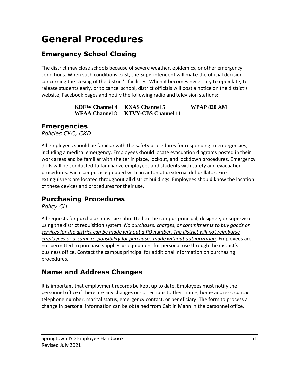# **General Procedures**

### **Emergency School Closing**

The district may close schools because of severe weather, epidemics, or other emergency conditions. When such conditions exist, the Superintendent will make the official decision concerning the closing of the district's facilities. When it becomes necessary to open late, to release students early, or to cancel school, district officials will post a notice on the district's website, Facebook pages and notify the following radio and television stations:

> **KDFW Channel 4 KXAS Channel 5 WPAP 820 AM WFAA Channel 8 KTVY-CBS Channel 11**

### **Emergencies**

*Policies CKC, CKD*

All employees should be familiar with the safety procedures for responding to emergencies, including a medical emergency. Employees should locate evacuation diagrams posted in their work areas and be familiar with shelter in place, lockout, and lockdown procedures. Emergency drills will be conducted to familiarize employees and students with safety and evacuation procedures. Each campus is equipped with an automatic external defibrillator. Fire extinguishers are located throughout all district buildings. Employees should know the location of these devices and procedures for their use.

### **Purchasing Procedures**

*Policy CH*

All requests for purchases must be submitted to the campus principal, designee, or supervisor using the district requisition system. *No purchases, charges, or commitments to buy goods or services for the district can be made without a PO number. The district will not reimburse employees or assume responsibility for purchases made without authorization*. Employees are not permitted to purchase supplies or equipment for personal use through the district's business office. Contact the campus principal for additional information on purchasing procedures.

### **Name and Address Changes**

It is important that employment records be kept up to date. Employees must notify the personnel office if there are any changes or corrections to their name, home address, contact telephone number, marital status, emergency contact, or beneficiary. The form to process a change in personal information can be obtained from Caitlin Mann in the personnel office.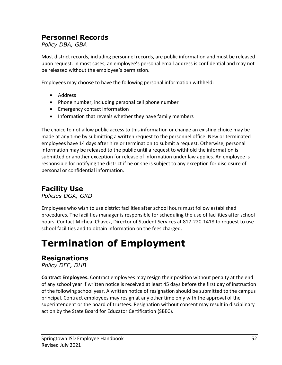### **Personnel Recor**d**s**

*Policy DBA, GBA*

Most district records, including personnel records, are public information and must be released upon request. In most cases, an employee's personal email address is confidential and may not be released without the employee's permission.

Employees may choose to have the following personal information withheld:

- Address
- Phone number, including personal cell phone number
- Emergency contact information
- Information that reveals whether they have family members

The choice to not allow public access to this information or change an existing choice may be made at any time by submitting a written request to the personnel office. New or terminated employees have 14 days after hire or termination to submit a request. Otherwise, personal information may be released to the public until a request to withhold the information is submitted or another exception for release of information under law applies. An employee is responsible for notifying the district if he or she is subject to any exception for disclosure of personal or confidential information.

### **Facility Use**

*Policies DGA, GKD*

Employees who wish to use district facilities after school hours must follow established procedures. The facilities manager is responsible for scheduling the use of facilities after school hours. Contact Micheal Chavez, Director of Student Services at 817-220-1418 to request to use school facilities and to obtain information on the fees charged.

# **Termination of Employment**

### **Resignations**

*Policy DFE, DHB*

**Contract Employees.** Contract employees may resign their position without penalty at the end of any school year if written notice is received at least 45 days before the first day of instruction of the following school year. A written notice of resignation should be submitted to the campus principal. Contract employees may resign at any other time only with the approval of the superintendent or the board of trustees. Resignation without consent may result in disciplinary action by the State Board for Educator Certification (SBEC).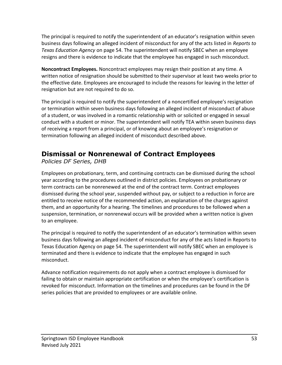The principal is required to notify the superintendent of an educator's resignation within seven business days following an alleged incident of misconduct for any of the acts listed in *Reports to Texas Education Agency* on page 54. The superintendent will notify SBEC when an employee resigns and there is evidence to indicate that the employee has engaged in such misconduct.

**Noncontract Employees.** Noncontract employees may resign their position at any time. A written notice of resignation should be submitted to their supervisor at least two weeks prior to the effective date. Employees are encouraged to include the reasons for leaving in the letter of resignation but are not required to do so.

The principal is required to notify the superintendent of a noncertified employee's resignation or termination within seven business days following an alleged incident of misconduct of abuse of a student, or was involved in a romantic relationship with or solicited or engaged in sexual conduct with a student or minor. The superintendent will notify TEA within seven business days of receiving a report from a principal, or of knowing about an employee's resignation or termination following an alleged incident of misconduct described above.

### **Dismissal or Nonrenewal of Contract Employees**

*Policies DF Series, DHB*

Employees on probationary, term, and continuing contracts can be dismissed during the school year according to the procedures outlined in district policies. Employees on probationary or term contracts can be nonrenewed at the end of the contract term. Contract employees dismissed during the school year, suspended without pay, or subject to a reduction in force are entitled to receive notice of the recommended action, an explanation of the charges against them, and an opportunity for a hearing. The timelines and procedures to be followed when a suspension, termination, or nonrenewal occurs will be provided when a written notice is given to an employee.

The principal is required to notify the superintendent of an educator's termination within seven business days following an alleged incident of misconduct for any of the acts listed in Reports to Texas Education Agency on page 54. The superintendent will notify SBEC when an employee is terminated and there is evidence to indicate that the employee has engaged in such misconduct.

Advance notification requirements do not apply when a contract employee is dismissed for failing to obtain or maintain appropriate certification or when the employee's certification is revoked for misconduct. Information on the timelines and procedures can be found in the DF series policies that are provided to employees or are available online.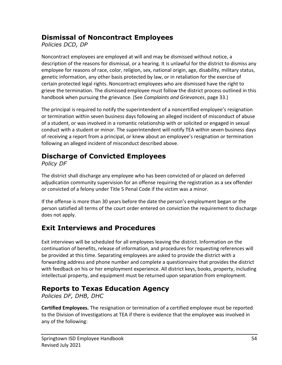### **Dismissal of Noncontract Employees**

*Policies DCD, DP*

Noncontract employees are employed at will and may be dismissed without notice, a description of the reasons for dismissal, or a hearing. It is unlawful for the district to dismiss any employee for reasons of race, color, religion, sex, national origin, age, disability, military status, genetic information, any other basis protected by law, or in retaliation for the exercise of certain protected legal rights. Noncontract employees who are dismissed have the right to grieve the termination. The dismissed employee must follow the district process outlined in this handbook when pursuing the grievance. (See *Complaints and Grievances*, page 33.)

The principal is required to notify the superintendent of a noncertified employee's resignation or termination within seven business days following an alleged incident of misconduct of abuse of a student, or was involved in a romantic relationship with or solicited or engaged in sexual conduct with a student or minor. The superintendent will notify TEA within seven business days of receiving a report from a principal, or knew about an employee's resignation or termination following an alleged incident of misconduct described above.

### **Discharge of Convicted Employees**

*Policy DF*

The district shall discharge any employee who has been convicted of or placed on deferred adjudication community supervision for an offense requiring the registration as a sex offender or convicted of a felony under Title 5 Penal Code if the victim was a minor.

If the offense is more than 30 years before the date the person's employment began or the person satisfied all terms of the court order entered on conviction the requirement to discharge does not apply.

### **Exit Interviews and Procedures**

Exit interviews will be scheduled for all employees leaving the district. Information on the continuation of benefits, release of information, and procedures for requesting references will be provided at this time. Separating employees are asked to provide the district with a forwarding address and phone number and complete a questionnaire that provides the district with feedback on his or her employment experience. All district keys, books, property, including intellectual property, and equipment must be returned upon separation from employment.

### **Reports to Texas Education Agency**

*Policies DF, DHB, DHC*

**Certified Employees.** The resignation or termination of a certified employee must be reported to the Division of Investigations at TEA if there is evidence that the employee was involved in any of the following: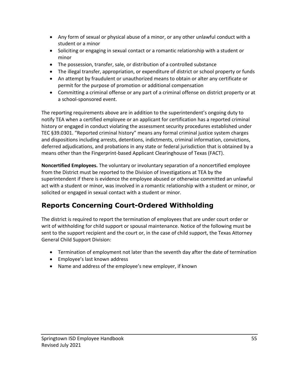- Any form of sexual or physical abuse of a minor, or any other unlawful conduct with a student or a minor
- Soliciting or engaging in sexual contact or a romantic relationship with a student or minor
- The possession, transfer, sale, or distribution of a controlled substance
- The illegal transfer, appropriation, or expenditure of district or school property or funds
- An attempt by fraudulent or unauthorized means to obtain or alter any certificate or permit for the purpose of promotion or additional compensation
- Committing a criminal offense or any part of a criminal offense on district property or at a school-sponsored event.

The reporting requirements above are in addition to the superintendent's ongoing duty to notify TEA when a certified employee or an applicant for certification has a reported criminal history or engaged in conduct violating the assessment security procedures established under TEC §39.0301. "Reported criminal history" means any formal criminal justice system charges and dispositions including arrests, detentions, indictments, criminal information, convictions, deferred adjudications, and probations in any state or federal jurisdiction that is obtained by a means other than the Fingerprint-based Applicant Clearinghouse of Texas (FACT).

**Noncertified Employees.** The voluntary or involuntary separation of a noncertified employee from the District must be reported to the Division of Investigations at TEA by the superintendent if there is evidence the employee abused or otherwise committed an unlawful act with a student or minor, was involved in a romantic relationship with a student or minor, or solicited or engaged in sexual contact with a student or minor.

### **Reports Concerning Court-Ordered Withholding**

The district is required to report the termination of employees that are under court order or writ of withholding for child support or spousal maintenance. Notice of the following must be sent to the support recipient and the court or, in the case of child support, the Texas Attorney General Child Support Division:

- Termination of employment not later than the seventh day after the date of termination
- Employee's last known address
- Name and address of the employee's new employer, if known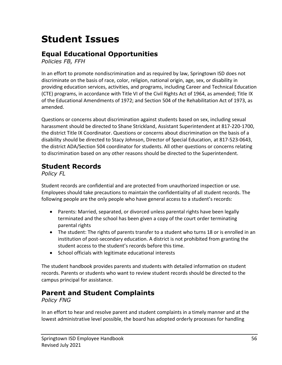# **Student Issues**

### **Equal Educational Opportunities**

*Policies FB, FFH*

In an effort to promote nondiscrimination and as required by law, Springtown ISD does not discriminate on the basis of race, color, religion, national origin, age, sex, or disability in providing education services, activities, and programs, including Career and Technical Education (CTE) programs, in accordance with Title VI of the Civil Rights Act of 1964, as amended; Title IX of the Educational Amendments of 1972; and Section 504 of the Rehabilitation Act of 1973, as amended.

Questions or concerns about discrimination against students based on sex, including sexual harassment should be directed to Shane Strickland, Assistant Superintendent at 817-220-1700, the district Title IX Coordinator. Questions or concerns about discrimination on the basis of a disability should be directed to Stacy Johnson, Director of Special Education, at 817-523-0643, the district ADA/Section 504 coordinator for students. All other questions or concerns relating to discrimination based on any other reasons should be directed to the Superintendent.

### **Student Records**

*Policy FL*

Student records are confidential and are protected from unauthorized inspection or use. Employees should take precautions to maintain the confidentiality of all student records. The following people are the only people who have general access to a student's records:

- Parents: Married, separated, or divorced unless parental rights have been legally terminated and the school has been given a copy of the court order terminating parental rights
- The student: The rights of parents transfer to a student who turns 18 or is enrolled in an institution of post-secondary education. A district is not prohibited from granting the student access to the student's records before this time.
- School officials with legitimate educational interests

The student handbook provides parents and students with detailed information on student records. Parents or students who want to review student records should be directed to the campus principal for assistance.

### **Parent and Student Complaints**

*Policy FNG*

In an effort to hear and resolve parent and student complaints in a timely manner and at the lowest administrative level possible, the board has adopted orderly processes for handling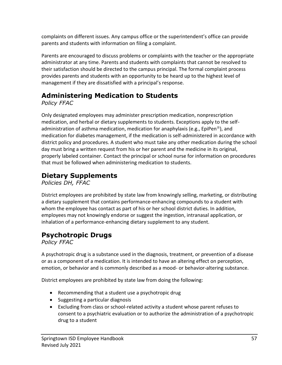complaints on different issues. Any campus office or the superintendent's office can provide parents and students with information on filing a complaint.

Parents are encouraged to discuss problems or complaints with the teacher or the appropriate administrator at any time. Parents and students with complaints that cannot be resolved to their satisfaction should be directed to the campus principal. The formal complaint process provides parents and students with an opportunity to be heard up to the highest level of management if they are dissatisfied with a principal's response.

### **Administering Medication to Students**

*Policy FFAC*

Only designated employees may administer prescription medication, nonprescription medication, and herbal or dietary supplements to students. Exceptions apply to the selfadministration of asthma medication, medication for anaphylaxis (e.g., EpiPen<sup>®</sup>), and medication for diabetes management, if the medication is self-administered in accordance with district policy and procedures. A student who must take any other medication during the school day must bring a written request from his or her parent and the medicine in its original, properly labeled container. Contact the principal or school nurse for information on procedures that must be followed when administering medication to students.

### **Dietary Supplements**

*Policies DH, FFAC*

District employees are prohibited by state law from knowingly selling, marketing, or distributing a dietary supplement that contains performance-enhancing compounds to a student with whom the employee has contact as part of his or her school district duties. In addition, employees may not knowingly endorse or suggest the ingestion, intranasal application, or inhalation of a performance-enhancing dietary supplement to any student.

### **Psychotropic Drugs**

*Policy FFAC*

A psychotropic drug is a substance used in the diagnosis, treatment, or prevention of a disease or as a component of a medication. It is intended to have an altering effect on perception, emotion, or behavior and is commonly described as a mood- or behavior-altering substance.

District employees are prohibited by state law from doing the following:

- Recommending that a student use a psychotropic drug
- Suggesting a particular diagnosis
- Excluding from class or school-related activity a student whose parent refuses to consent to a psychiatric evaluation or to authorize the administration of a psychotropic drug to a student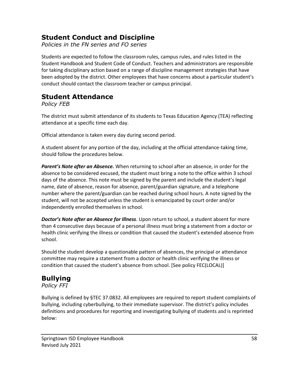### **Student Conduct and Discipline**

*Policies in the FN series and FO series*

Students are expected to follow the classroom rules, campus rules, and rules listed in the Student Handbook and Student Code of Conduct. Teachers and administrators are responsible for taking disciplinary action based on a range of discipline management strategies that have been adopted by the district. Other employees that have concerns about a particular student's conduct should contact the classroom teacher or campus principal.

### **Student Attendance**

*Policy FEB*

The district must submit attendance of its students to Texas Education Agency (TEA) reflecting attendance at a specific time each day.

Official attendance is taken every day during second period.

A student absent for any portion of the day, including at the official attendance-taking time, should follow the procedures below.

*Parent's Note after an Absence.* When returning to school after an absence, in order for the absence to be considered excused, the student must bring a note to the office within 3 school days of the absence. This note must be signed by the parent and include the student's legal name, date of absence, reason for absence, parent/guardian signature, and a telephone number where the parent/guardian can be reached during school hours. A note signed by the student, will not be accepted unless the student is emancipated by court order and/or independently enrolled themselves in school.

*Doctor's Note after an Absence for Illness*. Upon return to school, a student absent for more than 4 consecutive days because of a personal illness must bring a statement from a doctor or health clinic verifying the illness or condition that caused the student's extended absence from school.

Should the student develop a questionable pattern of absences, the principal or attendance committee may require a statement from a doctor or health clinic verifying the illness or condition that caused the student's absence from school. [See policy FEC(LOCAL)]

### **Bullying**

#### *Policy FFI*

Bullying is defined by §TEC 37.0832. All employees are required to report student complaints of bullying, including cyberbullying, to their immediate supervisor. The district's policy includes definitions and procedures for reporting and investigating bullying of students and is reprinted below: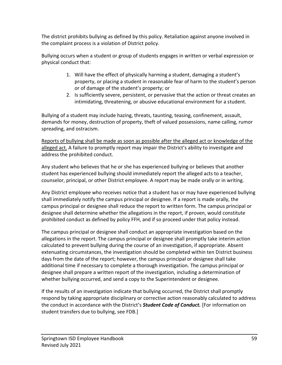The district prohibits bullying as defined by this policy. Retaliation against anyone involved in the complaint process is a violation of District policy.

Bullying occurs when a student or group of students engages in written or verbal expression or physical conduct that:

- 1. Will have the effect of physically harming a student, damaging a student's property, or placing a student in reasonable fear of harm to the student's person or of damage of the student's property; or
- 2. Is sufficiently severe, persistent, or pervasive that the action or threat creates an intimidating, threatening, or abusive educational environment for a student.

Bullying of a student may include hazing, threats, taunting, teasing, confinement, assault, demands for money, destruction of property, theft of valued possessions, name calling, rumor spreading, and ostracism.

Reports of bullying shall be made as soon as possible after the alleged act or knowledge of the alleged act. A failure to promptly report may impair the District's ability to investigate and address the prohibited conduct.

Any student who believes that he or she has experienced bullying or believes that another student has experienced bullying should immediately report the alleged acts to a teacher, counselor, principal, or other District employee. A report may be made orally or in writing.

Any District employee who receives notice that a student has or may have experienced bullying shall immediately notify the campus principal or designee. If a report is made orally, the campus principal or designee shall reduce the report to written form. The campus principal or designee shall determine whether the allegations in the report, if proven, would constitute prohibited conduct as defined by policy FFH, and if so proceed under that policy instead.

The campus principal or designee shall conduct an appropriate investigation based on the allegations in the report. The campus principal or designee shall promptly take interim action calculated to prevent bullying during the course of an investigation, if appropriate. Absent extenuating circumstances, the investigation should be completed within ten District business days from the date of the report; however, the campus principal or designee shall take additional time if necessary to complete a thorough investigation. The campus principal or designee shall prepare a written report of the investigation, including a determination of whether bullying occurred, and send a copy to the Superintendent or designee.

If the results of an investigation indicate that bullying occurred, the District shall promptly respond by taking appropriate disciplinary or corrective action reasonably calculated to address the conduct in accordance with the District's *Student Code of Conduct.* [For information on student transfers due to bullying, see FDB.]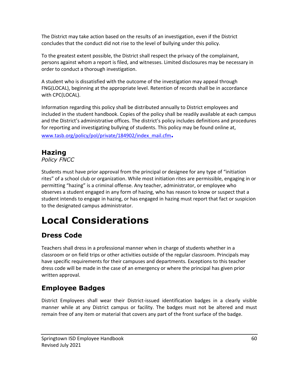The District may take action based on the results of an investigation, even if the District concludes that the conduct did not rise to the level of bullying under this policy.

To the greatest extent possible, the District shall respect the privacy of the complainant, persons against whom a report is filed, and witnesses. Limited disclosures may be necessary in order to conduct a thorough investigation.

A student who is dissatisfied with the outcome of the investigation may appeal through FNG(LOCAL), beginning at the appropriate level. Retention of records shall be in accordance with CPC(LOCAL).

Information regarding this policy shall be distributed annually to District employees and included in the student handbook. Copies of the policy shall be readily available at each campus and the District's administrative offices. The district's policy includes definitions and procedures for reporting and investigating bullying of students. This policy may be found online at, [www.tasb.org/policy/pol/private/184902/index\\_mail.cfm](http://www.tasb.org/policy/pol/private/184902/index_mail.cfm)**.**

### **Hazing**

*Policy FNCC*

Students must have prior approval from the principal or designee for any type of "initiation rites" of a school club or organization. While most initiation rites are permissible, engaging in or permitting "hazing" is a criminal offense. Any teacher, administrator, or employee who observes a student engaged in any form of hazing, who has reason to know or suspect that a student intends to engage in hazing, or has engaged in hazing must report that fact or suspicion to the designated campus administrator.

# **Local Considerations**

### **Dress Code**

Teachers shall dress in a professional manner when in charge of students whether in a classroom or on field trips or other activities outside of the regular classroom. Principals may have specific requirements for their campuses and departments. Exceptions to this teacher dress code will be made in the case of an emergency or where the principal has given prior written approval.

### **Employee Badges**

District Employees shall wear their District-issued identification badges in a clearly visible manner while at any District campus or facility. The badges must not be altered and must remain free of any item or material that covers any part of the front surface of the badge.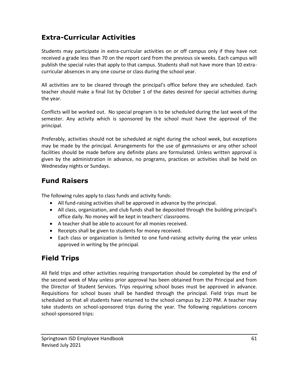### **Extra-Curricular Activities**

Students may participate in extra-curricular activities on or off campus only if they have not received a grade less than 70 on the report card from the previous six weeks. Each campus will publish the special rules that apply to that campus. Students shall not have more than 10 extracurricular absences in any one course or class during the school year.

All activities are to be cleared through the principal's office before they are scheduled. Each teacher should make a final list by October 1 of the dates desired for special activities during the year.

Conflicts will be worked out. No special program is to be scheduled during the last week of the semester. Any activity which is sponsored by the school must have the approval of the principal.

Preferably, activities should not be scheduled at night during the school week, but exceptions may be made by the principal. Arrangements for the use of gymnasiums or any other school facilities should be made before any definite plans are formulated. Unless written approval is given by the administration in advance, no programs, practices or activities shall be held on Wednesday nights or Sundays.

### **Fund Raisers**

The following rules apply to class funds and activity funds:

- All fund-raising activities shall be approved in advance by the principal.
- All class, organization, and club funds shall be deposited through the building principal's office daily. No money will be kept in teachers' classrooms.
- A teacher shall be able to account for all monies received.
- Receipts shall be given to students for money received.
- Each class or organization is limited to one fund-raising activity during the year unless approved in writing by the principal.

### **Field Trips**

All field trips and other activities requiring transportation should be completed by the end of the second week of May unless prior approval has been obtained from the Principal and from the Director of Student Services. Trips requiring school buses must be approved in advance. Requisitions for school buses shall be handled through the principal. Field trips must be scheduled so that all students have returned to the school campus by 2:20 PM. A teacher may take students on school-sponsored trips during the year. The following regulations concern school-sponsored trips: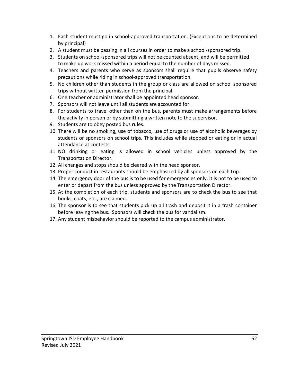- 1. Each student must go in school-approved transportation. (Exceptions to be determined by principal)
- 2. A student must be passing in all courses in order to make a school-sponsored trip.
- 3. Students on school-sponsored trips will not be counted absent, and will be permitted to make up work missed within a period equal to the number of days missed.
- 4. Teachers and parents who serve as sponsors shall require that pupils observe safety precautions while riding in school-approved transportation.
- 5. No children other than students in the group or class are allowed on school sponsored trips without written permission from the principal.
- 6. One teacher or administrator shall be appointed head sponsor.
- 7. Sponsors will not leave until all students are accounted for.
- 8. For students to travel other than on the bus, parents must make arrangements before the activity in person or by submitting a written note to the supervisor.
- 9. Students are to obey posted bus rules.
- 10. There will be no smoking, use of tobacco, use of drugs or use of alcoholic beverages by students or sponsors on school trips. This includes while stopped or eating or in actual attendance at contests.
- 11. NO drinking or eating is allowed in school vehicles unless approved by the Transportation Director.
- 12. All changes and stops should be cleared with the head sponsor.
- 13. Proper conduct in restaurants should be emphasized by all sponsors on each trip.
- 14. The emergency door of the bus is to be used for emergencies only; it is not to be used to enter or depart from the bus unless approved by the Transportation Director.
- 15. At the completion of each trip, students and sponsors are to check the bus to see that books, coats, etc., are claimed.
- 16. The sponsor is to see that students pick up all trash and deposit it in a trash container before leaving the bus. Sponsors will check the bus for vandalism.
- 17. Any student misbehavior should be reported to the campus administrator.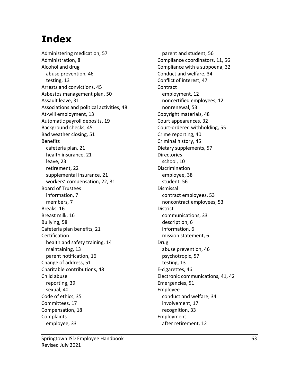# **Index**

Administering medication, 57 Administration, 8 Alcohol and drug abuse prevention, 46 testing, 13 Arrests and convictions, 45 Asbestos management plan, 50 Assault leave, 31 Associations and political activities, 48 At-will employment, 13 Automatic payroll deposits, 19 Background checks, 45 Bad weather closing, 51 Benefits cafeteria plan, 21 health insurance, 21 leave, 23 retirement, 22 supplemental insurance, 21 workers' compensation, 22, 31 Board of Trustees information, 7 members, 7 Breaks, 16 Breast milk, 16 Bullying, 58 Cafeteria plan benefits, 21 Certification health and safety training, 14 maintaining, 13 parent notification, 16 Change of address, 51 Charitable contributions, 48 Child abuse reporting, 39 sexual, 40 Code of ethics, 35 Committees, 17 Compensation, 18 Complaints employee, 33

parent and student, 56 Compliance coordinators, 11, 56 Compliance with a subpoena, 32 Conduct and welfare, 34 Conflict of interest, 47 **Contract** employment, 12 noncertified employees, 12 nonrenewal, 53 Copyright materials, 48 Court appearances, 32 Court-ordered withholding, 55 Crime reporting, 40 Criminal history, 45 Dietary supplements, 57 **Directories** school, 10 Discrimination employee, 38 student, 56 Dismissal contract employees, 53 noncontract employees, 53 District communications, 33 description, 6 information, 6 mission statement, 6 Drug abuse prevention, 46 psychotropic, 57 testing, 13 E-cigarettes, 46 Electronic communications, 41, 42 Emergencies, 51 Employee conduct and welfare, 34 involvement, 17 recognition, 33 Employment after retirement, 12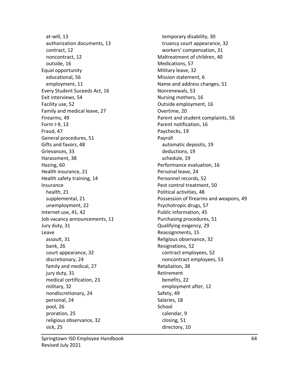at-will, 13 authorization documents, 13 contract, 12 noncontract, 12 outside, 16 Equal opportunity educational, 56 employment, 11 Every Student Suceeds Act, 16 Exit interviews, 54 Facility use, 52 Family and medical leave, 27 Firearms, 49 Form I-9, 13 Fraud, 47 General procedures, 51 Gifts and favors, 48 Grievances, 33 Harassment, 38 Hazing, 60 Health insurance, 21 Health safety training, 14 Insurance health, 21 supplemental, 21 unemployment, 22 Internet use, 41, 42 Job vacancy announcements, 11 Jury duty, 31 Leave assault, 31 bank, 26 court appearance, 32 discretionary, 24 family and medical, 27 jury duty, 31 medical certification, 23 military, 32 nondiscretionary, 24 personal, 24 pool, 26 proration, 25 religious observance, 32 sick, 25

temporary disability, 30 truancy court appearance, 32 workers' compensation, 31 Maltreatment of children, 40 Medications, 57 Military leave, 32 Mission statement, 6 Name and address changes, 51 Nonrenewals, 53 Nursing mothers, 16 Outside employment, 16 Overtime, 20 Parent and student complaints, 56 Parent notification, 16 Paychecks, 19 Payroll automatic deposits, 19 deductions, 19 schedule, 19 Performance evaluation, 16 Personal leave, 24 Personnel records, 52 Pest control treatment, 50 Political activities, 48 Possession of firearms and weapons, 49 Psychotropic drugs, 57 Public information, 45 Purchasing procedures, 51 Qualifying exigency, 29 Reassignments, 15 Religious observance, 32 Resignations, 52 contract employees, 52 noncontract employees, 53 Retaliation, 38 Retirement benefits, 22 employment after, 12 Safety, 49 Salaries, 18 School calendar, 9 closing, 51 directory, 10